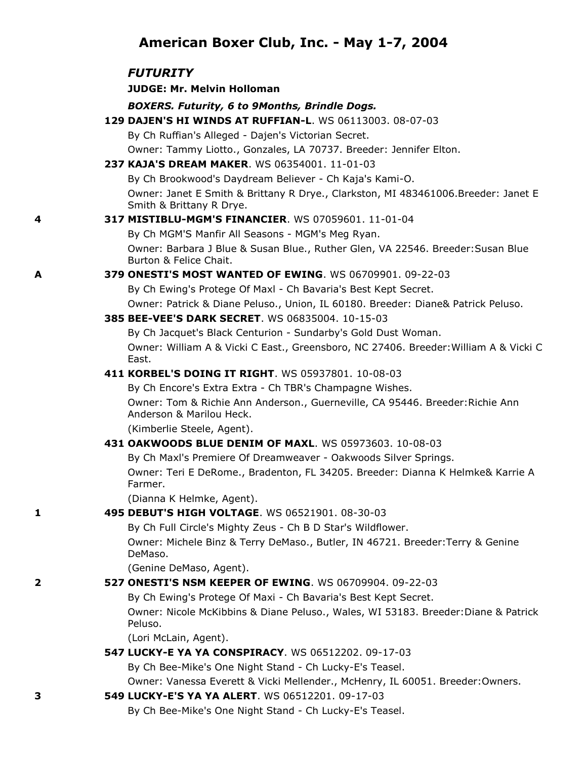# **American Boxer Club, Inc. - May 1-7, 2004**

### *FUTURITY*

### **JUDGE: Mr. Melvin Holloman**

#### *BOXERS. Futurity, 6 to 9Months, Brindle Dogs.*

**129 DAJEN'S HI WINDS AT RUFFIAN-L**. WS 06113003. 08-07-03

By Ch Ruffian's Alleged - Dajen's Victorian Secret.

Owner: Tammy Liotto., Gonzales, LA 70737. Breeder: Jennifer Elton.

### **237 KAJA'S DREAM MAKER**. WS 06354001. 11-01-03

By Ch Brookwood's Daydream Believer - Ch Kaja's Kami-O. Owner: Janet E Smith & Brittany R Drye., Clarkston, MI 483461006.Breeder: Janet E Smith & Brittany R Drye.

#### **4 317 MISTIBLU-MGM'S FINANCIER**. WS 07059601. 11-01-04

By Ch MGM'S Manfir All Seasons - MGM's Meg Ryan.

Owner: Barbara J Blue & Susan Blue., Ruther Glen, VA 22546. Breeder:Susan Blue Burton & Felice Chait.

### **A 379 ONESTI'S MOST WANTED OF EWING**. WS 06709901. 09-22-03

By Ch Ewing's Protege Of Maxl - Ch Bavaria's Best Kept Secret.

Owner: Patrick & Diane Peluso., Union, IL 60180. Breeder: Diane& Patrick Peluso.

#### **385 BEE-VEE'S DARK SECRET**. WS 06835004. 10-15-03

By Ch Jacquet's Black Centurion - Sundarby's Gold Dust Woman. Owner: William A & Vicki C East., Greensboro, NC 27406. Breeder:William A & Vicki C East.

#### **411 KORBEL'S DOING IT RIGHT**. WS 05937801. 10-08-03

By Ch Encore's Extra Extra - Ch TBR's Champagne Wishes.

Owner: Tom & Richie Ann Anderson., Guerneville, CA 95446. Breeder:Richie Ann Anderson & Marilou Heck.

(Kimberlie Steele, Agent).

### **431 OAKWOODS BLUE DENIM OF MAXL**. WS 05973603. 10-08-03

By Ch Maxl's Premiere Of Dreamweaver - Oakwoods Silver Springs.

Owner: Teri E DeRome., Bradenton, FL 34205. Breeder: Dianna K Helmke& Karrie A Farmer.

(Dianna K Helmke, Agent).

#### **1 495 DEBUT'S HIGH VOLTAGE**. WS 06521901. 08-30-03

By Ch Full Circle's Mighty Zeus - Ch B D Star's Wildflower. Owner: Michele Binz & Terry DeMaso., Butler, IN 46721. Breeder:Terry & Genine

(Genine DeMaso, Agent).

### **2 527 ONESTI'S NSM KEEPER OF EWING**. WS 06709904. 09-22-03

By Ch Ewing's Protege Of Maxi - Ch Bavaria's Best Kept Secret.

Owner: Nicole McKibbins & Diane Peluso., Wales, WI 53183. Breeder:Diane & Patrick Peluso.

(Lori McLain, Agent).

DeMaso.

### **547 LUCKY-E YA YA CONSPIRACY**. WS 06512202. 09-17-03

By Ch Bee-Mike's One Night Stand - Ch Lucky-E's Teasel.

Owner: Vanessa Everett & Vicki Mellender., McHenry, IL 60051. Breeder:Owners.

### **3 549 LUCKY-E'S YA YA ALERT**. WS 06512201. 09-17-03

By Ch Bee-Mike's One Night Stand - Ch Lucky-E's Teasel.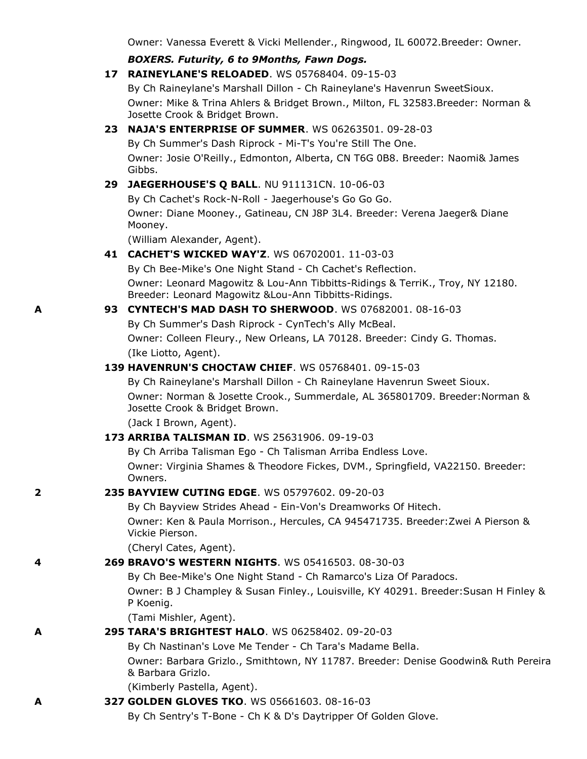Owner: Vanessa Everett & Vicki Mellender., Ringwood, IL 60072.Breeder: Owner.

# *BOXERS. Futurity, 6 to 9Months, Fawn Dogs.*

**17 RAINEYLANE'S RELOADED**. WS 05768404. 09-15-03

By Ch Raineylane's Marshall Dillon - Ch Raineylane's Havenrun SweetSioux. Owner: Mike & Trina Ahlers & Bridget Brown., Milton, FL 32583.Breeder: Norman & Josette Crook & Bridget Brown.

# **23 NAJA'S ENTERPRISE OF SUMMER**. WS 06263501. 09-28-03

By Ch Summer's Dash Riprock - Mi-T's You're Still The One. Owner: Josie O'Reilly., Edmonton, Alberta, CN T6G 0B8. Breeder: Naomi& James Gibbs.

# **29 JAEGERHOUSE'S Q BALL**. NU 911131CN. 10-06-03

By Ch Cachet's Rock-N-Roll - Jaegerhouse's Go Go Go. Owner: Diane Mooney., Gatineau, CN J8P 3L4. Breeder: Verena Jaeger& Diane Mooney.

(William Alexander, Agent).

# **41 CACHET'S WICKED WAY'Z**. WS 06702001. 11-03-03

By Ch Bee-Mike's One Night Stand - Ch Cachet's Reflection. Owner: Leonard Magowitz & Lou-Ann Tibbitts-Ridings & TerriK., Troy, NY 12180. Breeder: Leonard Magowitz &Lou-Ann Tibbitts-Ridings.

# **A 93 CYNTECH'S MAD DASH TO SHERWOOD**. WS 07682001. 08-16-03

By Ch Summer's Dash Riprock - CynTech's Ally McBeal. Owner: Colleen Fleury., New Orleans, LA 70128. Breeder: Cindy G. Thomas. (Ike Liotto, Agent).

# **139 HAVENRUN'S CHOCTAW CHIEF**. WS 05768401. 09-15-03

By Ch Raineylane's Marshall Dillon - Ch Raineylane Havenrun Sweet Sioux.

Owner: Norman & Josette Crook., Summerdale, AL 365801709. Breeder:Norman & Josette Crook & Bridget Brown.

(Jack I Brown, Agent).

# **173 ARRIBA TALISMAN ID**. WS 25631906. 09-19-03

By Ch Arriba Talisman Ego - Ch Talisman Arriba Endless Love. Owner: Virginia Shames & Theodore Fickes, DVM., Springfield, VA22150. Breeder: Owners.

# **2 235 BAYVIEW CUTING EDGE**. WS 05797602. 09-20-03

By Ch Bayview Strides Ahead - Ein-Von's Dreamworks Of Hitech.

Owner: Ken & Paula Morrison., Hercules, CA 945471735. Breeder:Zwei A Pierson & Vickie Pierson.

(Cheryl Cates, Agent).

# **4 269 BRAVO'S WESTERN NIGHTS**. WS 05416503. 08-30-03

By Ch Bee-Mike's One Night Stand - Ch Ramarco's Liza Of Paradocs.

Owner: B J Champley & Susan Finley., Louisville, KY 40291. Breeder:Susan H Finley & P Koenig.

(Tami Mishler, Agent).

# **A 295 TARA'S BRIGHTEST HALO**. WS 06258402. 09-20-03

By Ch Nastinan's Love Me Tender - Ch Tara's Madame Bella.

Owner: Barbara Grizlo., Smithtown, NY 11787. Breeder: Denise Goodwin& Ruth Pereira & Barbara Grizlo.

(Kimberly Pastella, Agent).

# **A 327 GOLDEN GLOVES TKO**. WS 05661603. 08-16-03

By Ch Sentry's T-Bone - Ch K & D's Daytripper Of Golden Glove.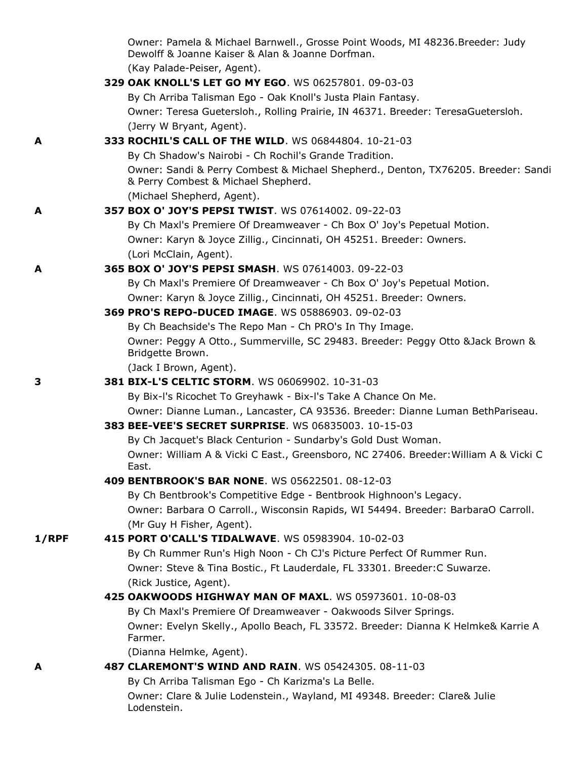|          | Owner: Pamela & Michael Barnwell., Grosse Point Woods, MI 48236.Breeder: Judy<br>Dewolff & Joanne Kaiser & Alan & Joanne Dorfman. |
|----------|-----------------------------------------------------------------------------------------------------------------------------------|
|          | (Kay Palade-Peiser, Agent).                                                                                                       |
|          | 329 OAK KNOLL'S LET GO MY EGO. WS 06257801. 09-03-03                                                                              |
|          | By Ch Arriba Talisman Ego - Oak Knoll's Justa Plain Fantasy.                                                                      |
|          | Owner: Teresa Guetersloh., Rolling Prairie, IN 46371. Breeder: TeresaGuetersloh.                                                  |
|          | (Jerry W Bryant, Agent).                                                                                                          |
| A        | 333 ROCHIL'S CALL OF THE WILD. WS 06844804. 10-21-03                                                                              |
|          | By Ch Shadow's Nairobi - Ch Rochil's Grande Tradition.                                                                            |
|          | Owner: Sandi & Perry Combest & Michael Shepherd., Denton, TX76205. Breeder: Sandi<br>& Perry Combest & Michael Shepherd.          |
|          | (Michael Shepherd, Agent).                                                                                                        |
| A        | 357 BOX O' JOY'S PEPSI TWIST. WS 07614002. 09-22-03                                                                               |
|          | By Ch Maxl's Premiere Of Dreamweaver - Ch Box O' Joy's Pepetual Motion.                                                           |
|          | Owner: Karyn & Joyce Zillig., Cincinnati, OH 45251. Breeder: Owners.                                                              |
|          | (Lori McClain, Agent).                                                                                                            |
| A        | 365 BOX O' JOY'S PEPSI SMASH. WS 07614003. 09-22-03                                                                               |
|          | By Ch Maxl's Premiere Of Dreamweaver - Ch Box O' Joy's Pepetual Motion.                                                           |
|          | Owner: Karyn & Joyce Zillig., Cincinnati, OH 45251. Breeder: Owners.                                                              |
|          | 369 PRO'S REPO-DUCED IMAGE. WS 05886903. 09-02-03                                                                                 |
|          | By Ch Beachside's The Repo Man - Ch PRO's In Thy Image.                                                                           |
|          | Owner: Peggy A Otto., Summerville, SC 29483. Breeder: Peggy Otto & Jack Brown &<br>Bridgette Brown.                               |
|          | (Jack I Brown, Agent).                                                                                                            |
| З        | 381 BIX-L'S CELTIC STORM. WS 06069902. 10-31-03                                                                                   |
|          | By Bix-I's Ricochet To Greyhawk - Bix-I's Take A Chance On Me.                                                                    |
|          | Owner: Dianne Luman., Lancaster, CA 93536. Breeder: Dianne Luman BethPariseau.                                                    |
|          | 383 BEE-VEE'S SECRET SURPRISE. WS 06835003. 10-15-03                                                                              |
|          | By Ch Jacquet's Black Centurion - Sundarby's Gold Dust Woman.                                                                     |
|          | Owner: William A & Vicki C East., Greensboro, NC 27406. Breeder: William A & Vicki C<br>East.                                     |
|          | 409 BENTBROOK'S BAR NONE. WS 05622501. 08-12-03                                                                                   |
|          | By Ch Bentbrook's Competitive Edge - Bentbrook Highnoon's Legacy.                                                                 |
|          | Owner: Barbara O Carroll., Wisconsin Rapids, WI 54494. Breeder: BarbaraO Carroll.                                                 |
|          | (Mr Guy H Fisher, Agent).                                                                                                         |
| $1/$ RPF | 415 PORT O'CALL'S TIDALWAVE. WS 05983904. 10-02-03                                                                                |
|          | By Ch Rummer Run's High Noon - Ch CJ's Picture Perfect Of Rummer Run.                                                             |
|          | Owner: Steve & Tina Bostic., Ft Lauderdale, FL 33301. Breeder: C Suwarze.                                                         |
|          | (Rick Justice, Agent).                                                                                                            |
|          | 425 OAKWOODS HIGHWAY MAN OF MAXL. WS 05973601. 10-08-03                                                                           |
|          | By Ch Maxl's Premiere Of Dreamweaver - Oakwoods Silver Springs.                                                                   |
|          | Owner: Evelyn Skelly., Apollo Beach, FL 33572. Breeder: Dianna K Helmke& Karrie A<br>Farmer.                                      |
|          | (Dianna Helmke, Agent).                                                                                                           |
| А        | 487 CLAREMONT'S WIND AND RAIN. WS 05424305. 08-11-03                                                                              |
|          | By Ch Arriba Talisman Ego - Ch Karizma's La Belle.                                                                                |
|          | Owner: Clare & Julie Lodenstein., Wayland, MI 49348. Breeder: Clare& Julie<br>Lodenstein.                                         |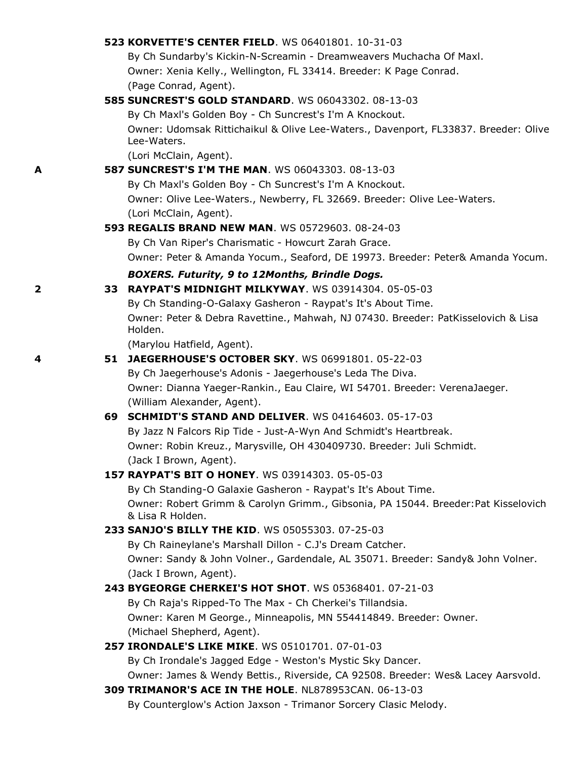|   | <b>523 KORVETTE'S CENTER FIELD. WS 06401801. 10-31-03</b>                                        |
|---|--------------------------------------------------------------------------------------------------|
|   | By Ch Sundarby's Kickin-N-Screamin - Dreamweavers Muchacha Of Maxl.                              |
|   | Owner: Xenia Kelly., Wellington, FL 33414. Breeder: K Page Conrad.                               |
|   | (Page Conrad, Agent).                                                                            |
|   | <b>585 SUNCREST'S GOLD STANDARD.</b> WS 06043302. 08-13-03                                       |
|   | By Ch Maxl's Golden Boy - Ch Suncrest's I'm A Knockout.                                          |
|   | Owner: Udomsak Rittichaikul & Olive Lee-Waters., Davenport, FL33837. Breeder: Olive              |
|   | Lee-Waters.                                                                                      |
| A | (Lori McClain, Agent).<br><b>587 SUNCREST'S I'M THE MAN. WS 06043303. 08-13-03</b>               |
|   | By Ch Maxl's Golden Boy - Ch Suncrest's I'm A Knockout.                                          |
|   | Owner: Olive Lee-Waters., Newberry, FL 32669. Breeder: Olive Lee-Waters.                         |
|   | (Lori McClain, Agent).                                                                           |
|   | <b>593 REGALIS BRAND NEW MAN. WS 05729603. 08-24-03</b>                                          |
|   | By Ch Van Riper's Charismatic - Howcurt Zarah Grace.                                             |
|   | Owner: Peter & Amanda Yocum., Seaford, DE 19973. Breeder: Peter& Amanda Yocum.                   |
|   | BOXERS. Futurity, 9 to 12Months, Brindle Dogs.                                                   |
| 2 | 33 RAYPAT'S MIDNIGHT MILKYWAY, WS 03914304, 05-05-03                                             |
|   | By Ch Standing-O-Galaxy Gasheron - Raypat's It's About Time.                                     |
|   | Owner: Peter & Debra Ravettine., Mahwah, NJ 07430. Breeder: PatKisselovich & Lisa                |
|   | Holden.                                                                                          |
|   | (Marylou Hatfield, Agent).                                                                       |
| 4 | 51 JAEGERHOUSE'S OCTOBER SKY. WS 06991801. 05-22-03                                              |
|   | By Ch Jaegerhouse's Adonis - Jaegerhouse's Leda The Diva.                                        |
|   | Owner: Dianna Yaeger-Rankin., Eau Claire, WI 54701. Breeder: VerenaJaeger.                       |
|   | (William Alexander, Agent).<br>69 SCHMIDT'S STAND AND DELIVER. WS 04164603. 05-17-03             |
|   | By Jazz N Falcors Rip Tide - Just-A-Wyn And Schmidt's Heartbreak.                                |
|   | Owner: Robin Kreuz., Marysville, OH 430409730. Breeder: Juli Schmidt.                            |
|   | (Jack I Brown, Agent).                                                                           |
|   | 157 RAYPAT'S BIT O HONEY. WS 03914303, 05-05-03                                                  |
|   | By Ch Standing-O Galaxie Gasheron - Raypat's It's About Time.                                    |
|   | Owner: Robert Grimm & Carolyn Grimm., Gibsonia, PA 15044. Breeder: Pat Kisselovich               |
|   | & Lisa R Holden.                                                                                 |
|   | 233 SANJO'S BILLY THE KID. WS 05055303. 07-25-03                                                 |
|   | By Ch Raineylane's Marshall Dillon - C.J's Dream Catcher.                                        |
|   | Owner: Sandy & John Volner., Gardendale, AL 35071. Breeder: Sandy& John Volner.                  |
|   | (Jack I Brown, Agent).                                                                           |
|   | 243 BYGEORGE CHERKEI'S HOT SHOT. WS 05368401. 07-21-03                                           |
|   | By Ch Raja's Ripped-To The Max - Ch Cherkei's Tillandsia.                                        |
|   | Owner: Karen M George., Minneapolis, MN 554414849. Breeder: Owner.<br>(Michael Shepherd, Agent). |
|   | 257 IRONDALE'S LIKE MIKE. WS 05101701. 07-01-03                                                  |
|   | By Ch Irondale's Jagged Edge - Weston's Mystic Sky Dancer.                                       |
|   | Owner: James & Wendy Bettis., Riverside, CA 92508. Breeder: Wes& Lacey Aarsvold.                 |
|   | 309 TRIMANOR'S ACE IN THE HOLE. NL878953CAN. 06-13-03                                            |
|   | By Counterglow's Action Jaxson - Trimanor Sorcery Clasic Melody.                                 |
|   |                                                                                                  |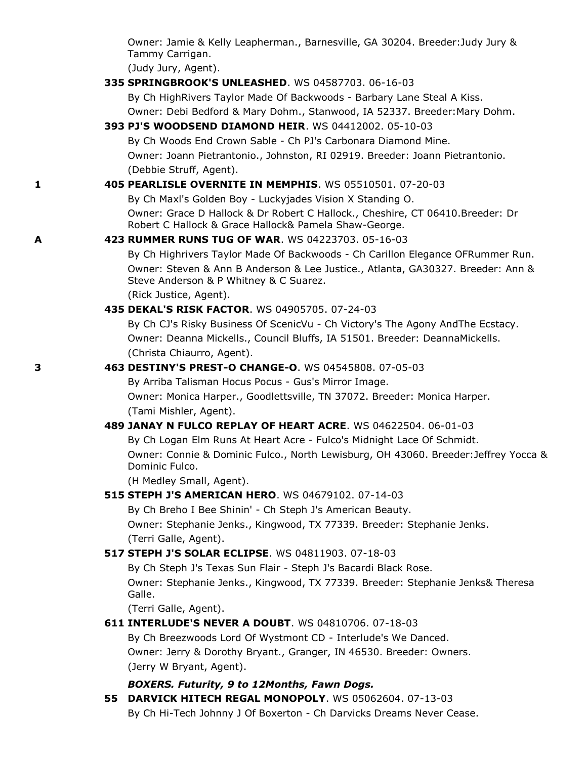Owner: Jamie & Kelly Leapherman., Barnesville, GA 30204. Breeder:Judy Jury & Tammy Carrigan.

(Judy Jury, Agent).

**335 SPRINGBROOK'S UNLEASHED**. WS 04587703. 06-16-03

By Ch HighRivers Taylor Made Of Backwoods - Barbary Lane Steal A Kiss.

Owner: Debi Bedford & Mary Dohm., Stanwood, IA 52337. Breeder:Mary Dohm.

#### **393 PJ'S WOODSEND DIAMOND HEIR**. WS 04412002. 05-10-03

By Ch Woods End Crown Sable - Ch PJ's Carbonara Diamond Mine. Owner: Joann Pietrantonio., Johnston, RI 02919. Breeder: Joann Pietrantonio. (Debbie Struff, Agent).

### **1 405 PEARLISLE OVERNITE IN MEMPHIS**. WS 05510501. 07-20-03

By Ch Maxl's Golden Boy - Luckyjades Vision X Standing O. Owner: Grace D Hallock & Dr Robert C Hallock., Cheshire, CT 06410.Breeder: Dr Robert C Hallock & Grace Hallock& Pamela Shaw-George.

#### **A 423 RUMMER RUNS TUG OF WAR**. WS 04223703. 05-16-03

By Ch Highrivers Taylor Made Of Backwoods - Ch Carillon Elegance OFRummer Run. Owner: Steven & Ann B Anderson & Lee Justice., Atlanta, GA30327. Breeder: Ann & Steve Anderson & P Whitney & C Suarez.

(Rick Justice, Agent).

#### **435 DEKAL'S RISK FACTOR**. WS 04905705. 07-24-03

By Ch CJ's Risky Business Of ScenicVu - Ch Victory's The Agony AndThe Ecstacy. Owner: Deanna Mickells., Council Bluffs, IA 51501. Breeder: DeannaMickells. (Christa Chiaurro, Agent).

#### **3 463 DESTINY'S PREST-O CHANGE-O**. WS 04545808. 07-05-03

By Arriba Talisman Hocus Pocus - Gus's Mirror Image.

Owner: Monica Harper., Goodlettsville, TN 37072. Breeder: Monica Harper. (Tami Mishler, Agent).

#### **489 JANAY N FULCO REPLAY OF HEART ACRE**. WS 04622504. 06-01-03

By Ch Logan Elm Runs At Heart Acre - Fulco's Midnight Lace Of Schmidt. Owner: Connie & Dominic Fulco., North Lewisburg, OH 43060. Breeder:Jeffrey Yocca & Dominic Fulco.

(H Medley Small, Agent).

#### **515 STEPH J'S AMERICAN HERO**. WS 04679102. 07-14-03

By Ch Breho I Bee Shinin' - Ch Steph J's American Beauty.

Owner: Stephanie Jenks., Kingwood, TX 77339. Breeder: Stephanie Jenks. (Terri Galle, Agent).

### **517 STEPH J'S SOLAR ECLIPSE**. WS 04811903. 07-18-03

By Ch Steph J's Texas Sun Flair - Steph J's Bacardi Black Rose.

Owner: Stephanie Jenks., Kingwood, TX 77339. Breeder: Stephanie Jenks& Theresa Galle.

(Terri Galle, Agent).

# **611 INTERLUDE'S NEVER A DOUBT**. WS 04810706. 07-18-03

By Ch Breezwoods Lord Of Wystmont CD - Interlude's We Danced. Owner: Jerry & Dorothy Bryant., Granger, IN 46530. Breeder: Owners. (Jerry W Bryant, Agent).

### *BOXERS. Futurity, 9 to 12Months, Fawn Dogs.*

**55 DARVICK HITECH REGAL MONOPOLY**. WS 05062604. 07-13-03 By Ch Hi-Tech Johnny J Of Boxerton - Ch Darvicks Dreams Never Cease.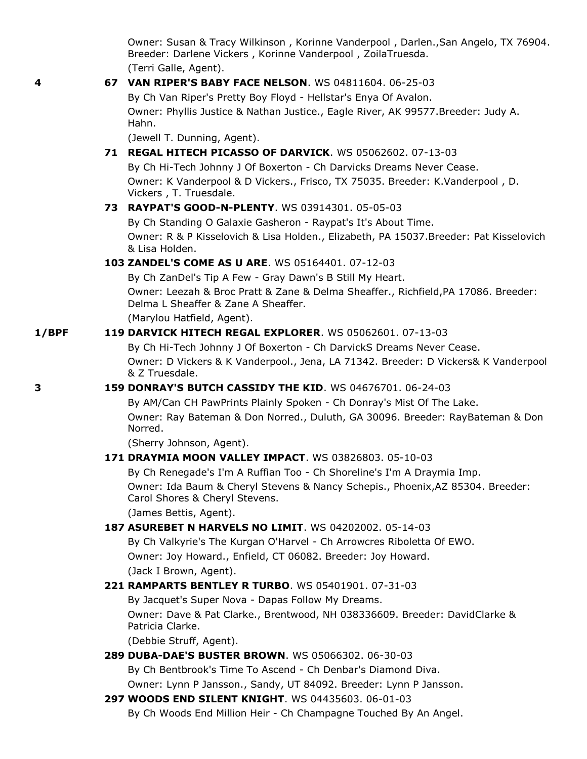Owner: Susan & Tracy Wilkinson , Korinne Vanderpool , Darlen.,San Angelo, TX 76904. Breeder: Darlene Vickers , Korinne Vanderpool , ZoilaTruesda. (Terri Galle, Agent).

# **4 67 VAN RIPER'S BABY FACE NELSON**. WS 04811604. 06-25-03 By Ch Van Riper's Pretty Boy Floyd - Hellstar's Enya Of Avalon.

Owner: Phyllis Justice & Nathan Justice., Eagle River, AK 99577.Breeder: Judy A. Hahn.

(Jewell T. Dunning, Agent).

# **71 REGAL HITECH PICASSO OF DARVICK**. WS 05062602. 07-13-03

By Ch Hi-Tech Johnny J Of Boxerton - Ch Darvicks Dreams Never Cease. Owner: K Vanderpool & D Vickers., Frisco, TX 75035. Breeder: K.Vanderpool , D. Vickers , T. Truesdale.

### **73 RAYPAT'S GOOD-N-PLENTY**. WS 03914301. 05-05-03

By Ch Standing O Galaxie Gasheron - Raypat's It's About Time. Owner: R & P Kisselovich & Lisa Holden., Elizabeth, PA 15037.Breeder: Pat Kisselovich & Lisa Holden.

### **103 ZANDEL'S COME AS U ARE**. WS 05164401. 07-12-03

By Ch ZanDel's Tip A Few - Gray Dawn's B Still My Heart. Owner: Leezah & Broc Pratt & Zane & Delma Sheaffer., Richfield,PA 17086. Breeder: Delma L Sheaffer & Zane A Sheaffer.

(Marylou Hatfield, Agent).

### **1/BPF 119 DARVICK HITECH REGAL EXPLORER**. WS 05062601. 07-13-03

By Ch Hi-Tech Johnny J Of Boxerton - Ch DarvickS Dreams Never Cease. Owner: D Vickers & K Vanderpool., Jena, LA 71342. Breeder: D Vickers& K Vanderpool & Z Truesdale.

# **3 159 DONRAY'S BUTCH CASSIDY THE KID**. WS 04676701. 06-24-03

By AM/Can CH PawPrints Plainly Spoken - Ch Donray's Mist Of The Lake. Owner: Ray Bateman & Don Norred., Duluth, GA 30096. Breeder: RayBateman & Don Norred.

(Sherry Johnson, Agent).

# **171 DRAYMIA MOON VALLEY IMPACT**. WS 03826803. 05-10-03

By Ch Renegade's I'm A Ruffian Too - Ch Shoreline's I'm A Draymia Imp. Owner: Ida Baum & Cheryl Stevens & Nancy Schepis., Phoenix,AZ 85304. Breeder: Carol Shores & Cheryl Stevens.

(James Bettis, Agent).

# **187 ASUREBET N HARVELS NO LIMIT**. WS 04202002. 05-14-03

By Ch Valkyrie's The Kurgan O'Harvel - Ch Arrowcres Riboletta Of EWO. Owner: Joy Howard., Enfield, CT 06082. Breeder: Joy Howard. (Jack I Brown, Agent).

### **221 RAMPARTS BENTLEY R TURBO**. WS 05401901. 07-31-03

By Jacquet's Super Nova - Dapas Follow My Dreams. Owner: Dave & Pat Clarke., Brentwood, NH 038336609. Breeder: DavidClarke & Patricia Clarke.

(Debbie Struff, Agent).

### **289 DUBA-DAE'S BUSTER BROWN**. WS 05066302. 06-30-03

By Ch Bentbrook's Time To Ascend - Ch Denbar's Diamond Diva.

- Owner: Lynn P Jansson., Sandy, UT 84092. Breeder: Lynn P Jansson. **297 WOODS END SILENT KNIGHT**. WS 04435603. 06-01-03
	- By Ch Woods End Million Heir Ch Champagne Touched By An Angel.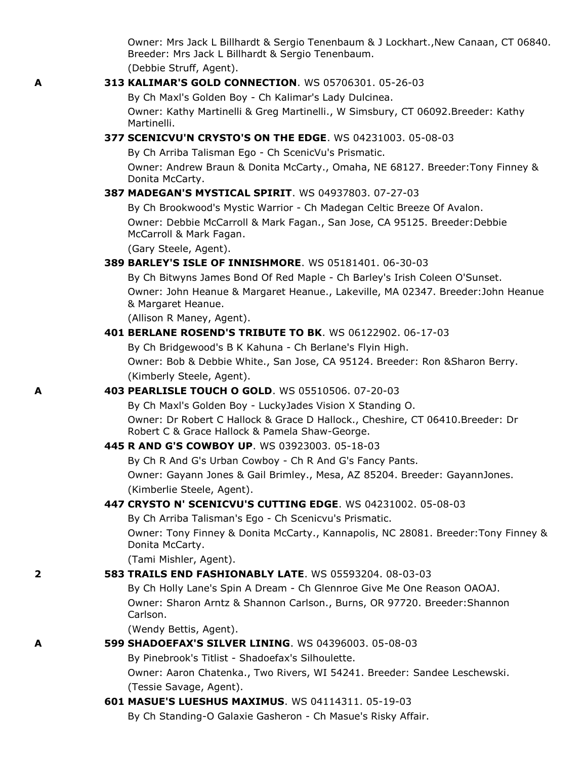Owner: Mrs Jack L Billhardt & Sergio Tenenbaum & J Lockhart.,New Canaan, CT 06840. Breeder: Mrs Jack L Billhardt & Sergio Tenenbaum.

(Debbie Struff, Agent).

### **A 313 KALIMAR'S GOLD CONNECTION**. WS 05706301. 05-26-03

By Ch Maxl's Golden Boy - Ch Kalimar's Lady Dulcinea.

Owner: Kathy Martinelli & Greg Martinelli., W Simsbury, CT 06092.Breeder: Kathy Martinelli.

#### **377 SCENICVU'N CRYSTO'S ON THE EDGE**. WS 04231003. 05-08-03

By Ch Arriba Talisman Ego - Ch ScenicVu's Prismatic.

Owner: Andrew Braun & Donita McCarty., Omaha, NE 68127. Breeder:Tony Finney & Donita McCarty.

#### **387 MADEGAN'S MYSTICAL SPIRIT**. WS 04937803. 07-27-03

By Ch Brookwood's Mystic Warrior - Ch Madegan Celtic Breeze Of Avalon. Owner: Debbie McCarroll & Mark Fagan., San Jose, CA 95125. Breeder:Debbie McCarroll & Mark Fagan.

(Gary Steele, Agent).

#### **389 BARLEY'S ISLE OF INNISHMORE**. WS 05181401. 06-30-03

By Ch Bitwyns James Bond Of Red Maple - Ch Barley's Irish Coleen O'Sunset. Owner: John Heanue & Margaret Heanue., Lakeville, MA 02347. Breeder:John Heanue & Margaret Heanue.

(Allison R Maney, Agent).

#### **401 BERLANE ROSEND'S TRIBUTE TO BK**. WS 06122902. 06-17-03

By Ch Bridgewood's B K Kahuna - Ch Berlane's Flyin High. Owner: Bob & Debbie White., San Jose, CA 95124. Breeder: Ron &Sharon Berry. (Kimberly Steele, Agent).

#### **A 403 PEARLISLE TOUCH O GOLD**. WS 05510506. 07-20-03

By Ch Maxl's Golden Boy - LuckyJades Vision X Standing O. Owner: Dr Robert C Hallock & Grace D Hallock., Cheshire, CT 06410.Breeder: Dr Robert C & Grace Hallock & Pamela Shaw-George.

#### **445 R AND G'S COWBOY UP**. WS 03923003. 05-18-03

By Ch R And G's Urban Cowboy - Ch R And G's Fancy Pants. Owner: Gayann Jones & Gail Brimley., Mesa, AZ 85204. Breeder: GayannJones. (Kimberlie Steele, Agent).

### **447 CRYSTO N' SCENICVU'S CUTTING EDGE**. WS 04231002. 05-08-03

By Ch Arriba Talisman's Ego - Ch Scenicvu's Prismatic.

Owner: Tony Finney & Donita McCarty., Kannapolis, NC 28081. Breeder:Tony Finney & Donita McCarty.

(Tami Mishler, Agent).

### **2 583 TRAILS END FASHIONABLY LATE**. WS 05593204. 08-03-03

By Ch Holly Lane's Spin A Dream - Ch Glennroe Give Me One Reason OAOAJ. Owner: Sharon Arntz & Shannon Carlson., Burns, OR 97720. Breeder:Shannon Carlson.

(Wendy Bettis, Agent).

### **A 599 SHADOEFAX'S SILVER LINING**. WS 04396003. 05-08-03

By Pinebrook's Titlist - Shadoefax's Silhoulette.

Owner: Aaron Chatenka., Two Rivers, WI 54241. Breeder: Sandee Leschewski. (Tessie Savage, Agent).

### **601 MASUE'S LUESHUS MAXIMUS**. WS 04114311. 05-19-03

By Ch Standing-O Galaxie Gasheron - Ch Masue's Risky Affair.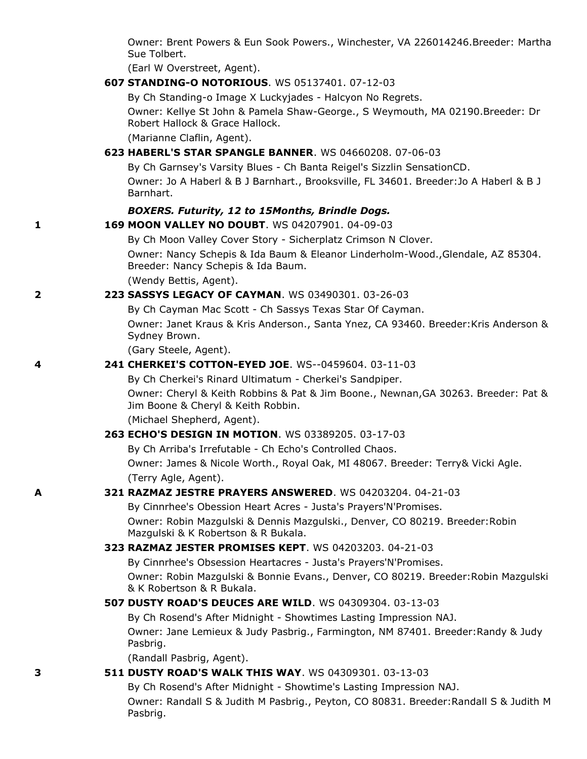Owner: Brent Powers & Eun Sook Powers., Winchester, VA 226014246.Breeder: Martha Sue Tolbert.

(Earl W Overstreet, Agent).

**607 STANDING-O NOTORIOUS**. WS 05137401. 07-12-03

By Ch Standing-o Image X Luckyjades - Halcyon No Regrets.

Owner: Kellye St John & Pamela Shaw-George., S Weymouth, MA 02190.Breeder: Dr Robert Hallock & Grace Hallock.

(Marianne Claflin, Agent).

### **623 HABERL'S STAR SPANGLE BANNER**. WS 04660208. 07-06-03

By Ch Garnsey's Varsity Blues - Ch Banta Reigel's Sizzlin SensationCD. Owner: Jo A Haberl & B J Barnhart., Brooksville, FL 34601. Breeder:Jo A Haberl & B J Barnhart.

#### *BOXERS. Futurity, 12 to 15Months, Brindle Dogs.*

#### **1 169 MOON VALLEY NO DOUBT**. WS 04207901. 04-09-03

By Ch Moon Valley Cover Story - Sicherplatz Crimson N Clover.

Owner: Nancy Schepis & Ida Baum & Eleanor Linderholm-Wood.,Glendale, AZ 85304. Breeder: Nancy Schepis & Ida Baum.

(Wendy Bettis, Agent).

#### **2 223 SASSYS LEGACY OF CAYMAN**. WS 03490301. 03-26-03

By Ch Cayman Mac Scott - Ch Sassys Texas Star Of Cayman.

Owner: Janet Kraus & Kris Anderson., Santa Ynez, CA 93460. Breeder:Kris Anderson & Sydney Brown.

(Gary Steele, Agent).

#### **4 241 CHERKEI'S COTTON-EYED JOE**. WS--0459604. 03-11-03

By Ch Cherkei's Rinard Ultimatum - Cherkei's Sandpiper.

Owner: Cheryl & Keith Robbins & Pat & Jim Boone., Newnan,GA 30263. Breeder: Pat & Jim Boone & Cheryl & Keith Robbin.

(Michael Shepherd, Agent).

#### **263 ECHO'S DESIGN IN MOTION**. WS 03389205. 03-17-03

By Ch Arriba's Irrefutable - Ch Echo's Controlled Chaos.

Owner: James & Nicole Worth., Royal Oak, MI 48067. Breeder: Terry& Vicki Agle. (Terry Agle, Agent).

#### **A 321 RAZMAZ JESTRE PRAYERS ANSWERED**. WS 04203204. 04-21-03

By Cinnrhee's Obession Heart Acres - Justa's Prayers'N'Promises. Owner: Robin Mazgulski & Dennis Mazgulski., Denver, CO 80219. Breeder:Robin Mazgulski & K Robertson & R Bukala.

#### **323 RAZMAZ JESTER PROMISES KEPT**. WS 04203203. 04-21-03

By Cinnrhee's Obsession Heartacres - Justa's Prayers'N'Promises.

Owner: Robin Mazgulski & Bonnie Evans., Denver, CO 80219. Breeder:Robin Mazgulski & K Robertson & R Bukala.

#### **507 DUSTY ROAD'S DEUCES ARE WILD**. WS 04309304. 03-13-03

By Ch Rosend's After Midnight - Showtimes Lasting Impression NAJ. Owner: Jane Lemieux & Judy Pasbrig., Farmington, NM 87401. Breeder:Randy & Judy Pasbrig.

(Randall Pasbrig, Agent).

#### **3 511 DUSTY ROAD'S WALK THIS WAY**. WS 04309301. 03-13-03

By Ch Rosend's After Midnight - Showtime's Lasting Impression NAJ.

Owner: Randall S & Judith M Pasbrig., Peyton, CO 80831. Breeder:Randall S & Judith M Pasbrig.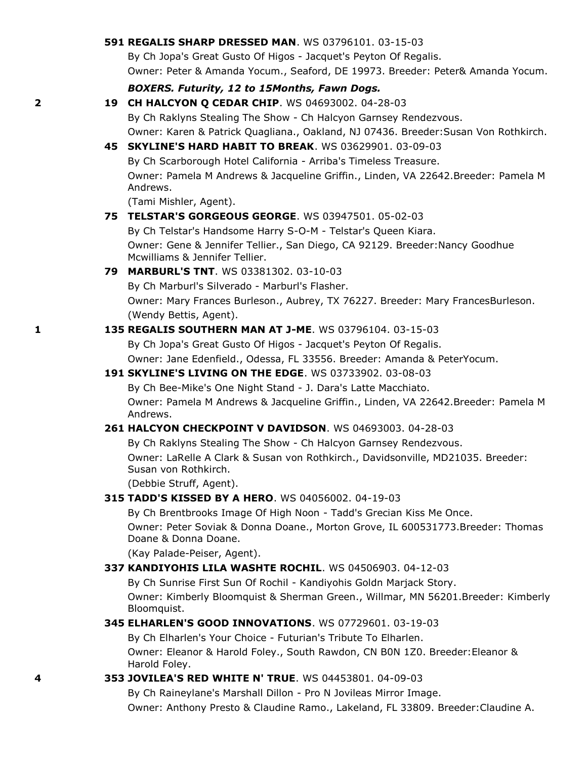#### **591 REGALIS SHARP DRESSED MAN**. WS 03796101. 03-15-03

By Ch Jopa's Great Gusto Of Higos - Jacquet's Peyton Of Regalis. Owner: Peter & Amanda Yocum., Seaford, DE 19973. Breeder: Peter& Amanda Yocum.

#### *BOXERS. Futurity, 12 to 15Months, Fawn Dogs.*

#### **2 19 CH HALCYON Q CEDAR CHIP**. WS 04693002. 04-28-03

By Ch Raklyns Stealing The Show - Ch Halcyon Garnsey Rendezvous. Owner: Karen & Patrick Quagliana., Oakland, NJ 07436. Breeder:Susan Von Rothkirch.

# **45 SKYLINE'S HARD HABIT TO BREAK**. WS 03629901. 03-09-03

By Ch Scarborough Hotel California - Arriba's Timeless Treasure. Owner: Pamela M Andrews & Jacqueline Griffin., Linden, VA 22642.Breeder: Pamela M Andrews.

(Tami Mishler, Agent).

#### **75 TELSTAR'S GORGEOUS GEORGE**. WS 03947501. 05-02-03

By Ch Telstar's Handsome Harry S-O-M - Telstar's Queen Kiara. Owner: Gene & Jennifer Tellier., San Diego, CA 92129. Breeder:Nancy Goodhue Mcwilliams & Jennifer Tellier.

#### **79 MARBURL'S TNT**. WS 03381302. 03-10-03

By Ch Marburl's Silverado - Marburl's Flasher.

Owner: Mary Frances Burleson., Aubrey, TX 76227. Breeder: Mary FrancesBurleson. (Wendy Bettis, Agent).

#### **1 135 REGALIS SOUTHERN MAN AT J-ME**. WS 03796104. 03-15-03

By Ch Jopa's Great Gusto Of Higos - Jacquet's Peyton Of Regalis.

Owner: Jane Edenfield., Odessa, FL 33556. Breeder: Amanda & PeterYocum.

#### **191 SKYLINE'S LIVING ON THE EDGE**. WS 03733902. 03-08-03

By Ch Bee-Mike's One Night Stand - J. Dara's Latte Macchiato.

Owner: Pamela M Andrews & Jacqueline Griffin., Linden, VA 22642.Breeder: Pamela M Andrews.

### **261 HALCYON CHECKPOINT V DAVIDSON**. WS 04693003. 04-28-03

By Ch Raklyns Stealing The Show - Ch Halcyon Garnsey Rendezvous.

Owner: LaRelle A Clark & Susan von Rothkirch., Davidsonville, MD21035. Breeder: Susan von Rothkirch.

(Debbie Struff, Agent).

#### **315 TADD'S KISSED BY A HERO**. WS 04056002. 04-19-03

By Ch Brentbrooks Image Of High Noon - Tadd's Grecian Kiss Me Once.

Owner: Peter Soviak & Donna Doane., Morton Grove, IL 600531773.Breeder: Thomas Doane & Donna Doane.

(Kay Palade-Peiser, Agent).

#### **337 KANDIYOHIS LILA WASHTE ROCHIL**. WS 04506903. 04-12-03

By Ch Sunrise First Sun Of Rochil - Kandiyohis Goldn Marjack Story.

Owner: Kimberly Bloomquist & Sherman Green., Willmar, MN 56201.Breeder: Kimberly Bloomquist.

#### **345 ELHARLEN'S GOOD INNOVATIONS**. WS 07729601. 03-19-03

By Ch Elharlen's Your Choice - Futurian's Tribute To Elharlen. Owner: Eleanor & Harold Foley., South Rawdon, CN B0N 1Z0. Breeder:Eleanor &

Harold Foley. **4 353 JOVILEA'S RED WHITE N' TRUE**. WS 04453801. 04-09-03

By Ch Raineylane's Marshall Dillon - Pro N Jovileas Mirror Image.

Owner: Anthony Presto & Claudine Ramo., Lakeland, FL 33809. Breeder:Claudine A.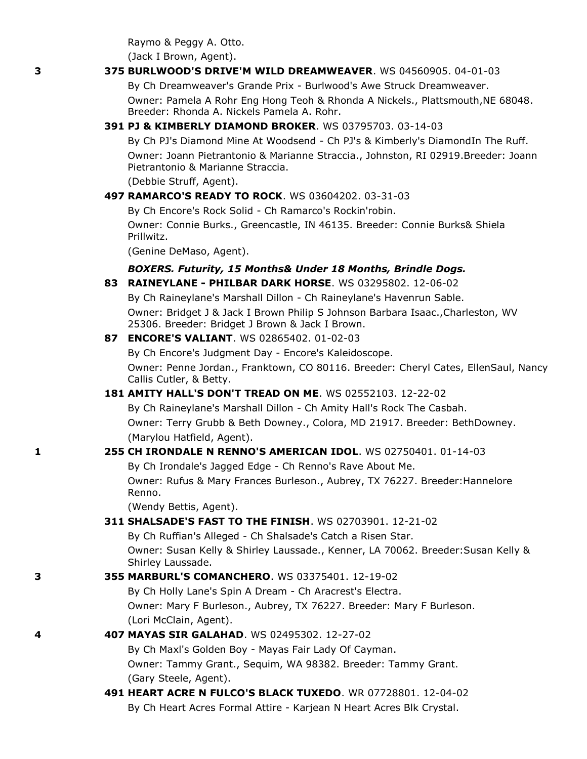Raymo & Peggy A. Otto. (Jack I Brown, Agent).

#### **3 375 BURLWOOD'S DRIVE'M WILD DREAMWEAVER**. WS 04560905. 04-01-03

By Ch Dreamweaver's Grande Prix - Burlwood's Awe Struck Dreamweaver. Owner: Pamela A Rohr Eng Hong Teoh & Rhonda A Nickels., Plattsmouth,NE 68048. Breeder: Rhonda A. Nickels Pamela A. Rohr.

### **391 PJ & KIMBERLY DIAMOND BROKER**. WS 03795703. 03-14-03

By Ch PJ's Diamond Mine At Woodsend - Ch PJ's & Kimberly's DiamondIn The Ruff. Owner: Joann Pietrantonio & Marianne Straccia., Johnston, RI 02919.Breeder: Joann Pietrantonio & Marianne Straccia.

(Debbie Struff, Agent).

#### **497 RAMARCO'S READY TO ROCK**. WS 03604202. 03-31-03

By Ch Encore's Rock Solid - Ch Ramarco's Rockin'robin.

Owner: Connie Burks., Greencastle, IN 46135. Breeder: Connie Burks& Shiela Prillwitz.

(Genine DeMaso, Agent).

### *BOXERS. Futurity, 15 Months& Under 18 Months, Brindle Dogs.*

#### **83 RAINEYLANE - PHILBAR DARK HORSE**. WS 03295802. 12-06-02

By Ch Raineylane's Marshall Dillon - Ch Raineylane's Havenrun Sable. Owner: Bridget J & Jack I Brown Philip S Johnson Barbara Isaac.,Charleston, WV 25306. Breeder: Bridget J Brown & Jack I Brown.

#### **87 ENCORE'S VALIANT**. WS 02865402. 01-02-03

By Ch Encore's Judgment Day - Encore's Kaleidoscope. Owner: Penne Jordan., Franktown, CO 80116. Breeder: Cheryl Cates, EllenSaul, Nancy Callis Cutler, & Betty.

#### **181 AMITY HALL'S DON'T TREAD ON ME**. WS 02552103. 12-22-02

By Ch Raineylane's Marshall Dillon - Ch Amity Hall's Rock The Casbah. Owner: Terry Grubb & Beth Downey., Colora, MD 21917. Breeder: BethDowney. (Marylou Hatfield, Agent).

#### **1 255 CH IRONDALE N RENNO'S AMERICAN IDOL**. WS 02750401. 01-14-03

By Ch Irondale's Jagged Edge - Ch Renno's Rave About Me. Owner: Rufus & Mary Frances Burleson., Aubrey, TX 76227. Breeder:Hannelore Renno.

(Wendy Bettis, Agent).

### **311 SHALSADE'S FAST TO THE FINISH**. WS 02703901. 12-21-02

By Ch Ruffian's Alleged - Ch Shalsade's Catch a Risen Star. Owner: Susan Kelly & Shirley Laussade., Kenner, LA 70062. Breeder:Susan Kelly & Shirley Laussade.

#### **3 355 MARBURL'S COMANCHERO**. WS 03375401. 12-19-02

By Ch Holly Lane's Spin A Dream - Ch Aracrest's Electra. Owner: Mary F Burleson., Aubrey, TX 76227. Breeder: Mary F Burleson. (Lori McClain, Agent).

#### **4 407 MAYAS SIR GALAHAD**. WS 02495302. 12-27-02

By Ch Maxl's Golden Boy - Mayas Fair Lady Of Cayman. Owner: Tammy Grant., Sequim, WA 98382. Breeder: Tammy Grant. (Gary Steele, Agent).

**491 HEART ACRE N FULCO'S BLACK TUXEDO**. WR 07728801. 12-04-02 By Ch Heart Acres Formal Attire - Karjean N Heart Acres Blk Crystal.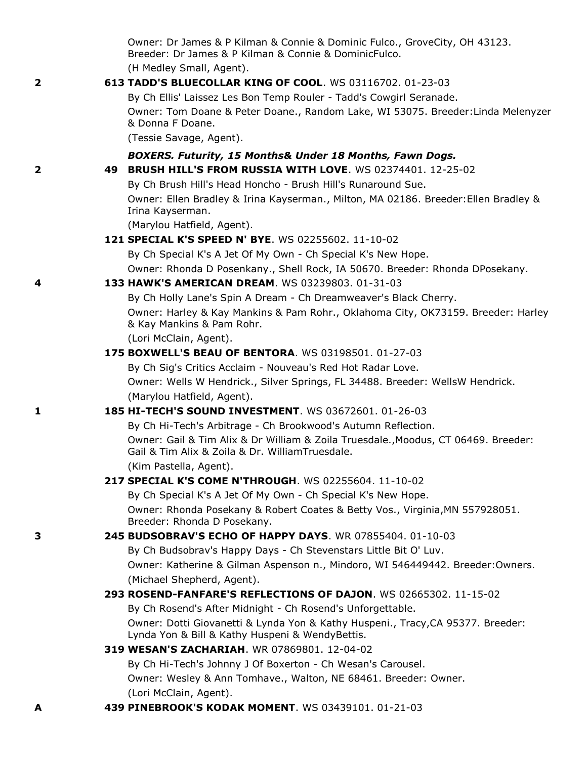|   | Owner: Dr James & P Kilman & Connie & Dominic Fulco., GroveCity, OH 43123.<br>Breeder: Dr James & P Kilman & Connie & DominicFulco.   |  |
|---|---------------------------------------------------------------------------------------------------------------------------------------|--|
|   | (H Medley Small, Agent).                                                                                                              |  |
| 2 | 613 TADD'S BLUECOLLAR KING OF COOL. WS 03116702. 01-23-03                                                                             |  |
|   | By Ch Ellis' Laissez Les Bon Temp Rouler - Tadd's Cowgirl Seranade.                                                                   |  |
|   | Owner: Tom Doane & Peter Doane., Random Lake, WI 53075. Breeder: Linda Melenyzer                                                      |  |
|   | & Donna F Doane.                                                                                                                      |  |
|   | (Tessie Savage, Agent).                                                                                                               |  |
|   | BOXERS. Futurity, 15 Months& Under 18 Months, Fawn Dogs.                                                                              |  |
| 2 | 49 BRUSH HILL'S FROM RUSSIA WITH LOVE. WS 02374401. 12-25-02                                                                          |  |
|   | By Ch Brush Hill's Head Honcho - Brush Hill's Runaround Sue.                                                                          |  |
|   | Owner: Ellen Bradley & Irina Kayserman., Milton, MA 02186. Breeder: Ellen Bradley &<br>Irina Kayserman.                               |  |
|   | (Marylou Hatfield, Agent).                                                                                                            |  |
|   | 121 SPECIAL K'S SPEED N' BYE. WS 02255602. 11-10-02                                                                                   |  |
|   | By Ch Special K's A Jet Of My Own - Ch Special K's New Hope.                                                                          |  |
|   | Owner: Rhonda D Posenkany., Shell Rock, IA 50670. Breeder: Rhonda DPosekany.                                                          |  |
| 4 | 133 HAWK'S AMERICAN DREAM. WS 03239803. 01-31-03                                                                                      |  |
|   | By Ch Holly Lane's Spin A Dream - Ch Dreamweaver's Black Cherry.                                                                      |  |
|   | Owner: Harley & Kay Mankins & Pam Rohr., Oklahoma City, OK73159. Breeder: Harley<br>& Kay Mankins & Pam Rohr.                         |  |
|   | (Lori McClain, Agent).                                                                                                                |  |
|   | 175 BOXWELL'S BEAU OF BENTORA. WS 03198501. 01-27-03                                                                                  |  |
|   | By Ch Sig's Critics Acclaim - Nouveau's Red Hot Radar Love.                                                                           |  |
|   | Owner: Wells W Hendrick., Silver Springs, FL 34488. Breeder: WellsW Hendrick.                                                         |  |
|   | (Marylou Hatfield, Agent).                                                                                                            |  |
| 1 | 185 HI-TECH'S SOUND INVESTMENT. WS 03672601. 01-26-03                                                                                 |  |
|   | By Ch Hi-Tech's Arbitrage - Ch Brookwood's Autumn Reflection.                                                                         |  |
|   | Owner: Gail & Tim Alix & Dr William & Zoila Truesdale., Moodus, CT 06469. Breeder:<br>Gail & Tim Alix & Zoila & Dr. WilliamTruesdale. |  |
|   | (Kim Pastella, Agent).                                                                                                                |  |
|   | 217 SPECIAL K'S COME N'THROUGH. WS 02255604. 11-10-02                                                                                 |  |
|   | By Ch Special K's A Jet Of My Own - Ch Special K's New Hope.                                                                          |  |
|   | Owner: Rhonda Posekany & Robert Coates & Betty Vos., Virginia, MN 557928051.<br>Breeder: Rhonda D Posekany.                           |  |
| 3 | 245 BUDSOBRAV'S ECHO OF HAPPY DAYS, WR 07855404, 01-10-03                                                                             |  |
|   | By Ch Budsobrav's Happy Days - Ch Stevenstars Little Bit O' Luv.                                                                      |  |
|   | Owner: Katherine & Gilman Aspenson n., Mindoro, WI 546449442. Breeder:Owners.                                                         |  |
|   | (Michael Shepherd, Agent).                                                                                                            |  |
|   | 293 ROSEND-FANFARE'S REFLECTIONS OF DAJON. WS 02665302. 11-15-02                                                                      |  |
|   | By Ch Rosend's After Midnight - Ch Rosend's Unforgettable.                                                                            |  |
|   | Owner: Dotti Giovanetti & Lynda Yon & Kathy Huspeni., Tracy, CA 95377. Breeder:<br>Lynda Yon & Bill & Kathy Huspeni & WendyBettis.    |  |
|   | 319 WESAN'S ZACHARIAH. WR 07869801. 12-04-02                                                                                          |  |
|   | By Ch Hi-Tech's Johnny J Of Boxerton - Ch Wesan's Carousel.                                                                           |  |
|   | Owner: Wesley & Ann Tomhave., Walton, NE 68461. Breeder: Owner.                                                                       |  |
|   | (Lori McClain, Agent).                                                                                                                |  |
| А | 439 PINEBROOK'S KODAK MOMENT. WS 03439101. 01-21-03                                                                                   |  |
|   |                                                                                                                                       |  |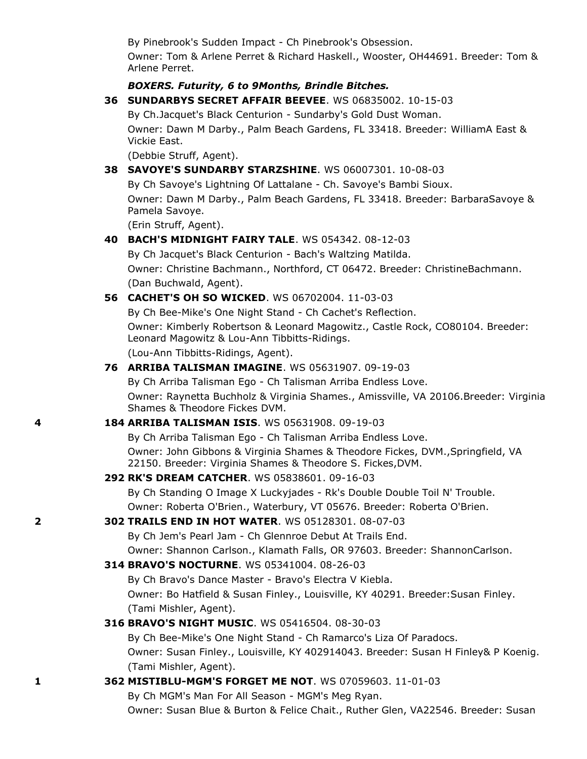By Pinebrook's Sudden Impact - Ch Pinebrook's Obsession.

Owner: Tom & Arlene Perret & Richard Haskell., Wooster, OH44691. Breeder: Tom & Arlene Perret.

#### *BOXERS. Futurity, 6 to 9Months, Brindle Bitches.*

**36 SUNDARBYS SECRET AFFAIR BEEVEE**. WS 06835002. 10-15-03

By Ch.Jacquet's Black Centurion - Sundarby's Gold Dust Woman. Owner: Dawn M Darby., Palm Beach Gardens, FL 33418. Breeder: WilliamA East & Vickie East.

(Debbie Struff, Agent). **38 SAVOYE'S SUNDARBY STARZSHINE**. WS 06007301. 10-08-03 By Ch Savoye's Lightning Of Lattalane - Ch. Savoye's Bambi Sioux. Owner: Dawn M Darby., Palm Beach Gardens, FL 33418. Breeder: BarbaraSavoye & Pamela Savoye. (Erin Struff, Agent). **40 BACH'S MIDNIGHT FAIRY TALE**. WS 054342. 08-12-03 By Ch Jacquet's Black Centurion - Bach's Waltzing Matilda. Owner: Christine Bachmann., Northford, CT 06472. Breeder: ChristineBachmann. (Dan Buchwald, Agent). **56 CACHET'S OH SO WICKED**. WS 06702004. 11-03-03 By Ch Bee-Mike's One Night Stand - Ch Cachet's Reflection. Owner: Kimberly Robertson & Leonard Magowitz., Castle Rock, CO80104. Breeder: Leonard Magowitz & Lou-Ann Tibbitts-Ridings. (Lou-Ann Tibbitts-Ridings, Agent). **76 ARRIBA TALISMAN IMAGINE**. WS 05631907. 09-19-03 By Ch Arriba Talisman Ego - Ch Talisman Arriba Endless Love. Owner: Raynetta Buchholz & Virginia Shames., Amissville, VA 20106.Breeder: Virginia Shames & Theodore Fickes DVM. **4 184 ARRIBA TALISMAN ISIS**. WS 05631908. 09-19-03 By Ch Arriba Talisman Ego - Ch Talisman Arriba Endless Love. Owner: John Gibbons & Virginia Shames & Theodore Fickes, DVM.,Springfield, VA 22150. Breeder: Virginia Shames & Theodore S. Fickes,DVM. **292 RK'S DREAM CATCHER**. WS 05838601. 09-16-03 By Ch Standing O Image X Luckyjades - Rk's Double Double Toil N' Trouble. Owner: Roberta O'Brien., Waterbury, VT 05676. Breeder: Roberta O'Brien. **2 302 TRAILS END IN HOT WATER**. WS 05128301. 08-07-03 By Ch Jem's Pearl Jam - Ch Glennroe Debut At Trails End. Owner: Shannon Carlson., Klamath Falls, OR 97603. Breeder: ShannonCarlson. **314 BRAVO'S NOCTURNE**. WS 05341004. 08-26-03 By Ch Bravo's Dance Master - Bravo's Electra V Kiebla. Owner: Bo Hatfield & Susan Finley., Louisville, KY 40291. Breeder:Susan Finley. (Tami Mishler, Agent).

### **316 BRAVO'S NIGHT MUSIC**. WS 05416504. 08-30-03

By Ch Bee-Mike's One Night Stand - Ch Ramarco's Liza Of Paradocs. Owner: Susan Finley., Louisville, KY 402914043. Breeder: Susan H Finley& P Koenig. (Tami Mishler, Agent).

# **1 362 MISTIBLU-MGM'S FORGET ME NOT**. WS 07059603. 11-01-03

By Ch MGM's Man For All Season - MGM's Meg Ryan.

Owner: Susan Blue & Burton & Felice Chait., Ruther Glen, VA22546. Breeder: Susan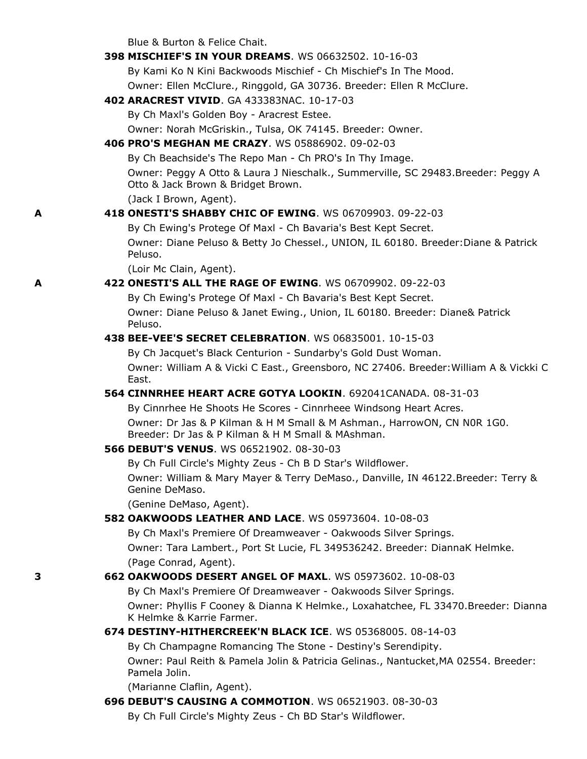Blue & Burton & Felice Chait.

|   | <b>398 MISCHIEF'S IN YOUR DREAMS.</b> WS 06632502, 10-16-03                                                                  |  |
|---|------------------------------------------------------------------------------------------------------------------------------|--|
|   | By Kami Ko N Kini Backwoods Mischief - Ch Mischief's In The Mood.                                                            |  |
|   | Owner: Ellen McClure., Ringgold, GA 30736. Breeder: Ellen R McClure.                                                         |  |
|   | 402 ARACREST VIVID. GA 433383NAC. 10-17-03                                                                                   |  |
|   | By Ch Maxl's Golden Boy - Aracrest Estee.                                                                                    |  |
|   | Owner: Norah McGriskin., Tulsa, OK 74145. Breeder: Owner.                                                                    |  |
|   | 406 PRO'S MEGHAN ME CRAZY. WS 05886902. 09-02-03                                                                             |  |
|   | By Ch Beachside's The Repo Man - Ch PRO's In Thy Image.                                                                      |  |
|   | Owner: Peggy A Otto & Laura J Nieschalk., Summerville, SC 29483.Breeder: Peggy A<br>Otto & Jack Brown & Bridget Brown.       |  |
|   | (Jack I Brown, Agent).                                                                                                       |  |
| A | 418 ONESTI'S SHABBY CHIC OF EWING. WS 06709903, 09-22-03                                                                     |  |
|   | By Ch Ewing's Protege Of Maxl - Ch Bavaria's Best Kept Secret.                                                               |  |
|   | Owner: Diane Peluso & Betty Jo Chessel., UNION, IL 60180. Breeder: Diane & Patrick<br>Peluso.                                |  |
|   | (Loir Mc Clain, Agent).                                                                                                      |  |
| A | 422 ONESTI'S ALL THE RAGE OF EWING. WS 06709902. 09-22-03                                                                    |  |
|   | By Ch Ewing's Protege Of Maxl - Ch Bavaria's Best Kept Secret.                                                               |  |
|   | Owner: Diane Peluso & Janet Ewing., Union, IL 60180. Breeder: Diane& Patrick<br>Peluso.                                      |  |
|   | 438 BEE-VEE'S SECRET CELEBRATION. WS 06835001. 10-15-03                                                                      |  |
|   | By Ch Jacquet's Black Centurion - Sundarby's Gold Dust Woman.                                                                |  |
|   | Owner: William A & Vicki C East., Greensboro, NC 27406. Breeder: William A & Vickki C<br>East.                               |  |
|   | 564 CINNRHEE HEART ACRE GOTYA LOOKIN. 692041CANADA. 08-31-03                                                                 |  |
|   | By Cinnrhee He Shoots He Scores - Cinnrheee Windsong Heart Acres.                                                            |  |
|   | Owner: Dr Jas & P Kilman & H M Small & M Ashman., HarrowON, CN N0R 1G0.<br>Breeder: Dr Jas & P Kilman & H M Small & MAshman. |  |
|   | <b>566 DEBUT'S VENUS. WS 06521902. 08-30-03</b>                                                                              |  |
|   | By Ch Full Circle's Mighty Zeus - Ch B D Star's Wildflower.                                                                  |  |
|   | Owner: William & Mary Mayer & Terry DeMaso., Danville, IN 46122.Breeder: Terry &<br>Genine DeMaso.                           |  |
|   | (Genine DeMaso, Agent).                                                                                                      |  |
|   | <b>582 OAKWOODS LEATHER AND LACE.</b> WS 05973604, 10-08-03                                                                  |  |
|   | By Ch Maxl's Premiere Of Dreamweaver - Oakwoods Silver Springs.                                                              |  |
|   | Owner: Tara Lambert., Port St Lucie, FL 349536242. Breeder: DiannaK Helmke.                                                  |  |
|   | (Page Conrad, Agent).                                                                                                        |  |
| 3 | 662 OAKWOODS DESERT ANGEL OF MAXL. WS 05973602. 10-08-03                                                                     |  |
|   | By Ch Maxl's Premiere Of Dreamweaver - Oakwoods Silver Springs.                                                              |  |
|   | Owner: Phyllis F Cooney & Dianna K Helmke., Loxahatchee, FL 33470.Breeder: Dianna<br>K Helmke & Karrie Farmer.               |  |
|   | 674 DESTINY-HITHERCREEK'N BLACK ICE. WS 05368005. 08-14-03                                                                   |  |
|   | By Ch Champagne Romancing The Stone - Destiny's Serendipity.                                                                 |  |
|   | Owner: Paul Reith & Pamela Jolin & Patricia Gelinas., Nantucket, MA 02554. Breeder:<br>Pamela Jolin.                         |  |
|   | (Marianne Claflin, Agent).                                                                                                   |  |
|   | 696 DEBUT'S CAUSING A COMMOTION. WS 06521903. 08-30-03                                                                       |  |
|   | By Ch Full Circle's Mighty Zeus - Ch BD Star's Wildflower.                                                                   |  |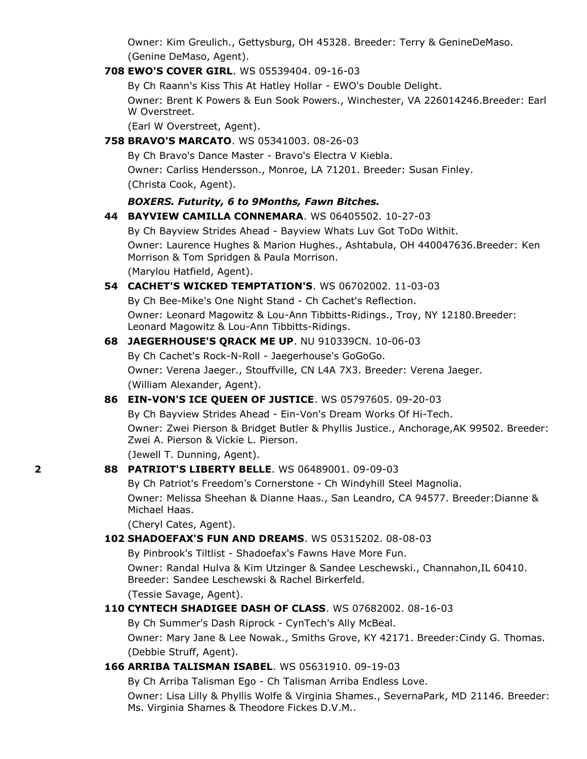Owner: Kim Greulich., Gettysburg, OH 45328. Breeder: Terry & GenineDeMaso. (Genine DeMaso, Agent).

#### **708 EWO'S COVER GIRL**. WS 05539404. 09-16-03

By Ch Raann's Kiss This At Hatley Hollar - EWO's Double Delight.

Owner: Brent K Powers & Eun Sook Powers., Winchester, VA 226014246.Breeder: Earl W Overstreet.

(Earl W Overstreet, Agent).

#### **758 BRAVO'S MARCATO**. WS 05341003. 08-26-03

By Ch Bravo's Dance Master - Bravo's Electra V Kiebla. Owner: Carliss Hendersson., Monroe, LA 71201. Breeder: Susan Finley. (Christa Cook, Agent).

#### *BOXERS. Futurity, 6 to 9Months, Fawn Bitches.*

### **44 BAYVIEW CAMILLA CONNEMARA**. WS 06405502. 10-27-03

By Ch Bayview Strides Ahead - Bayview Whats Luv Got ToDo Withit. Owner: Laurence Hughes & Marion Hughes., Ashtabula, OH 440047636.Breeder: Ken Morrison & Tom Spridgen & Paula Morrison. (Marylou Hatfield, Agent).

### **54 CACHET'S WICKED TEMPTATION'S**. WS 06702002. 11-03-03

By Ch Bee-Mike's One Night Stand - Ch Cachet's Reflection. Owner: Leonard Magowitz & Lou-Ann Tibbitts-Ridings., Troy, NY 12180.Breeder: Leonard Magowitz & Lou-Ann Tibbitts-Ridings.

#### **68 JAEGERHOUSE'S QRACK ME UP**. NU 910339CN. 10-06-03

By Ch Cachet's Rock-N-Roll - Jaegerhouse's GoGoGo. Owner: Verena Jaeger., Stouffville, CN L4A 7X3. Breeder: Verena Jaeger. (William Alexander, Agent).

#### **86 EIN-VON'S ICE QUEEN OF JUSTICE**. WS 05797605. 09-20-03

By Ch Bayview Strides Ahead - Ein-Von's Dream Works Of Hi-Tech. Owner: Zwei Pierson & Bridget Butler & Phyllis Justice., Anchorage,AK 99502. Breeder: Zwei A. Pierson & Vickie L. Pierson.

(Jewell T. Dunning, Agent).

### **2 88 PATRIOT'S LIBERTY BELLE**. WS 06489001. 09-09-03

By Ch Patriot's Freedom's Cornerstone - Ch Windyhill Steel Magnolia. Owner: Melissa Sheehan & Dianne Haas., San Leandro, CA 94577. Breeder:Dianne & Michael Haas.

(Cheryl Cates, Agent).

#### **102 SHADOEFAX'S FUN AND DREAMS**. WS 05315202. 08-08-03

By Pinbrook's Tiltlist - Shadoefax's Fawns Have More Fun.

Owner: Randal Hulva & Kim Utzinger & Sandee Leschewski., Channahon,IL 60410. Breeder: Sandee Leschewski & Rachel Birkerfeld.

(Tessie Savage, Agent).

#### **110 CYNTECH SHADIGEE DASH OF CLASS**. WS 07682002. 08-16-03

By Ch Summer's Dash Riprock - CynTech's Ally McBeal.

Owner: Mary Jane & Lee Nowak., Smiths Grove, KY 42171. Breeder:Cindy G. Thomas. (Debbie Struff, Agent).

### **166 ARRIBA TALISMAN ISABEL**. WS 05631910. 09-19-03

By Ch Arriba Talisman Ego - Ch Talisman Arriba Endless Love.

Owner: Lisa Lilly & Phyllis Wolfe & Virginia Shames., SevernaPark, MD 21146. Breeder: Ms. Virginia Shames & Theodore Fickes D.V.M..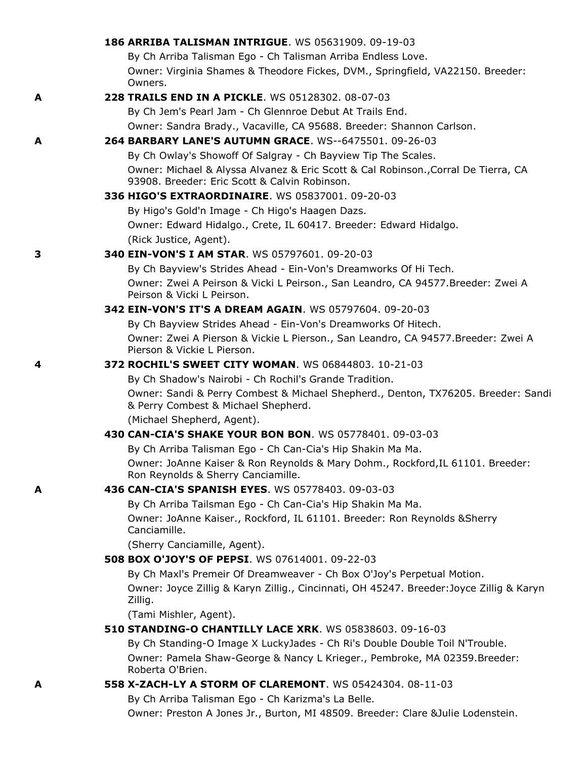|   | 186 ARRIBA TALISMAN INTRIGUE. WS 05631909. 09-19-03                                                                                 |
|---|-------------------------------------------------------------------------------------------------------------------------------------|
|   | By Ch Arriba Talisman Ego - Ch Talisman Arriba Endless Love.                                                                        |
|   | Owner: Virginia Shames & Theodore Fickes, DVM., Springfield, VA22150. Breeder:<br>Owners.                                           |
| A | 228 TRAILS END IN A PICKLE. WS 05128302, 08-07-03                                                                                   |
|   | By Ch Jem's Pearl Jam - Ch Glennroe Debut At Trails End.                                                                            |
|   | Owner: Sandra Brady., Vacaville, CA 95688. Breeder: Shannon Carlson.                                                                |
| A | 264 BARBARY LANE'S AUTUMN GRACE, WS--6475501, 09-26-03                                                                              |
|   | By Ch Owlay's Showoff Of Salgray - Ch Bayview Tip The Scales.                                                                       |
|   | Owner: Michael & Alyssa Alvanez & Eric Scott & Cal Robinson., Corral De Tierra, CA<br>93908. Breeder: Eric Scott & Calvin Robinson. |
|   | 336 HIGO'S EXTRAORDINAIRE. WS 05837001. 09-20-03                                                                                    |
|   | By Higo's Gold'n Image - Ch Higo's Haagen Dazs.                                                                                     |
|   | Owner: Edward Hidalgo., Crete, IL 60417. Breeder: Edward Hidalgo.                                                                   |
|   | (Rick Justice, Agent).                                                                                                              |
| 3 | 340 EIN-VON'S I AM STAR. WS 05797601. 09-20-03                                                                                      |
|   | By Ch Bayview's Strides Ahead - Ein-Von's Dreamworks Of Hi Tech.                                                                    |
|   | Owner: Zwei A Peirson & Vicki L Peirson., San Leandro, CA 94577.Breeder: Zwei A<br>Peirson & Vicki L Peirson.                       |
|   | 342 EIN-VON'S IT'S A DREAM AGAIN. WS 05797604. 09-20-03                                                                             |
|   | By Ch Bayview Strides Ahead - Ein-Von's Dreamworks Of Hitech.                                                                       |
|   | Owner: Zwei A Pierson & Vickie L Pierson., San Leandro, CA 94577.Breeder: Zwei A<br>Pierson & Vickie L Pierson.                     |
| 4 | <b>372 ROCHIL'S SWEET CITY WOMAN.</b> WS 06844803, 10-21-03                                                                         |
|   | By Ch Shadow's Nairobi - Ch Rochil's Grande Tradition.                                                                              |
|   | Owner: Sandi & Perry Combest & Michael Shepherd., Denton, TX76205. Breeder: Sandi<br>& Perry Combest & Michael Shepherd.            |
|   | (Michael Shepherd, Agent).                                                                                                          |
|   | 430 CAN-CIA'S SHAKE YOUR BON BON. WS 05778401, 09-03-03                                                                             |
|   | By Ch Arriba Talisman Ego - Ch Can-Cia's Hip Shakin Ma Ma.                                                                          |
|   | Owner: JoAnne Kaiser & Ron Reynolds & Mary Dohm., Rockford, IL 61101. Breeder:<br>Ron Reynolds & Sherry Canciamille.                |
| A | 436 CAN-CIA'S SPANISH EYES. WS 05778403. 09-03-03                                                                                   |
|   | By Ch Arriba Tailsman Ego - Ch Can-Cia's Hip Shakin Ma Ma.                                                                          |
|   | Owner: JoAnne Kaiser., Rockford, IL 61101. Breeder: Ron Reynolds & Sherry<br>Canciamille.                                           |
|   | (Sherry Canciamille, Agent).                                                                                                        |
|   | 508 BOX O'JOY'S OF PEPSI. WS 07614001. 09-22-03                                                                                     |
|   | By Ch Maxl's Premeir Of Dreamweaver - Ch Box O'Joy's Perpetual Motion.                                                              |
|   | Owner: Joyce Zillig & Karyn Zillig., Cincinnati, OH 45247. Breeder: Joyce Zillig & Karyn<br>Zillig.                                 |
|   | (Tami Mishler, Agent).                                                                                                              |
|   | 510 STANDING-O CHANTILLY LACE XRK. WS 05838603. 09-16-03                                                                            |
|   | By Ch Standing-O Image X LuckyJades - Ch Ri's Double Double Toil N'Trouble.                                                         |
|   | Owner: Pamela Shaw-George & Nancy L Krieger., Pembroke, MA 02359.Breeder:<br>Roberta O'Brien.                                       |
| A | 558 X-ZACH-LY A STORM OF CLAREMONT. WS 05424304. 08-11-03                                                                           |
|   | By Ch Arriba Talisman Ego - Ch Karizma's La Belle.                                                                                  |
|   | Owner: Preston A Jones Jr., Burton, MI 48509. Breeder: Clare &Julie Lodenstein.                                                     |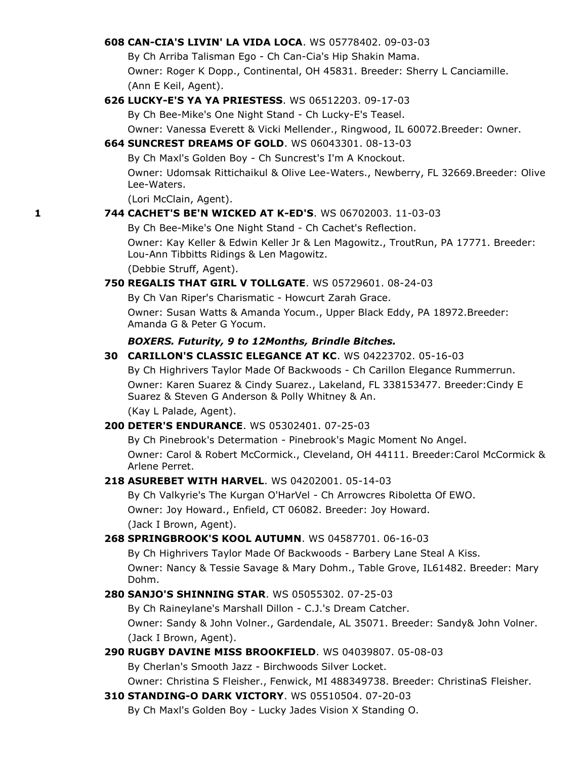### **608 CAN-CIA'S LIVIN' LA VIDA LOCA**. WS 05778402. 09-03-03

By Ch Arriba Talisman Ego - Ch Can-Cia's Hip Shakin Mama.

Owner: Roger K Dopp., Continental, OH 45831. Breeder: Sherry L Canciamille. (Ann E Keil, Agent).

### **626 LUCKY-E'S YA YA PRIESTESS**. WS 06512203. 09-17-03

By Ch Bee-Mike's One Night Stand - Ch Lucky-E's Teasel.

Owner: Vanessa Everett & Vicki Mellender., Ringwood, IL 60072.Breeder: Owner.

### **664 SUNCREST DREAMS OF GOLD**. WS 06043301. 08-13-03

By Ch Maxl's Golden Boy - Ch Suncrest's I'm A Knockout. Owner: Udomsak Rittichaikul & Olive Lee-Waters., Newberry, FL 32669.Breeder: Olive Lee-Waters.

(Lori McClain, Agent).

#### **1 744 CACHET'S BE'N WICKED AT K-ED'S**. WS 06702003. 11-03-03

By Ch Bee-Mike's One Night Stand - Ch Cachet's Reflection.

Owner: Kay Keller & Edwin Keller Jr & Len Magowitz., TroutRun, PA 17771. Breeder: Lou-Ann Tibbitts Ridings & Len Magowitz.

(Debbie Struff, Agent).

#### **750 REGALIS THAT GIRL V TOLLGATE**. WS 05729601. 08-24-03

By Ch Van Riper's Charismatic - Howcurt Zarah Grace. Owner: Susan Watts & Amanda Yocum., Upper Black Eddy, PA 18972.Breeder: Amanda G & Peter G Yocum.

#### *BOXERS. Futurity, 9 to 12Months, Brindle Bitches.*

# **30 CARILLON'S CLASSIC ELEGANCE AT KC**. WS 04223702. 05-16-03

By Ch Highrivers Taylor Made Of Backwoods - Ch Carillon Elegance Rummerrun. Owner: Karen Suarez & Cindy Suarez., Lakeland, FL 338153477. Breeder:Cindy E Suarez & Steven G Anderson & Polly Whitney & An. (Kay L Palade, Agent).

#### **200 DETER'S ENDURANCE**. WS 05302401. 07-25-03

By Ch Pinebrook's Determation - Pinebrook's Magic Moment No Angel.

Owner: Carol & Robert McCormick., Cleveland, OH 44111. Breeder:Carol McCormick & Arlene Perret.

#### **218 ASUREBET WITH HARVEL**. WS 04202001. 05-14-03

By Ch Valkyrie's The Kurgan O'HarVel - Ch Arrowcres Riboletta Of EWO. Owner: Joy Howard., Enfield, CT 06082. Breeder: Joy Howard. (Jack I Brown, Agent).

#### **268 SPRINGBROOK'S KOOL AUTUMN**. WS 04587701. 06-16-03

By Ch Highrivers Taylor Made Of Backwoods - Barbery Lane Steal A Kiss. Owner: Nancy & Tessie Savage & Mary Dohm., Table Grove, IL61482. Breeder: Mary Dohm.

### **280 SANJO'S SHINNING STAR**. WS 05055302. 07-25-03

By Ch Raineylane's Marshall Dillon - C.J.'s Dream Catcher. Owner: Sandy & John Volner., Gardendale, AL 35071. Breeder: Sandy& John Volner. (Jack I Brown, Agent).

### **290 RUGBY DAVINE MISS BROOKFIELD**. WS 04039807. 05-08-03

By Cherlan's Smooth Jazz - Birchwoods Silver Locket.

Owner: Christina S Fleisher., Fenwick, MI 488349738. Breeder: ChristinaS Fleisher.

#### **310 STANDING-O DARK VICTORY**. WS 05510504. 07-20-03

By Ch Maxl's Golden Boy - Lucky Jades Vision X Standing O.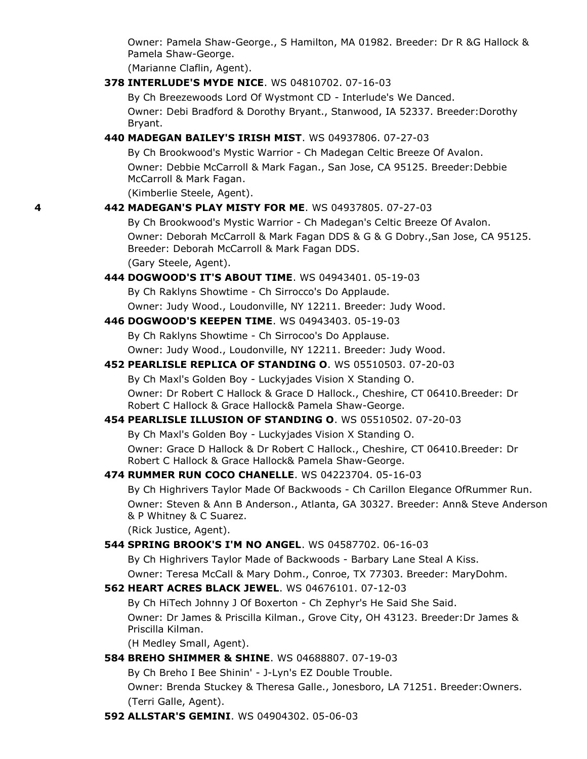Owner: Pamela Shaw-George., S Hamilton, MA 01982. Breeder: Dr R &G Hallock & Pamela Shaw-George.

(Marianne Claflin, Agent).

**378 INTERLUDE'S MYDE NICE**. WS 04810702. 07-16-03

By Ch Breezewoods Lord Of Wystmont CD - Interlude's We Danced. Owner: Debi Bradford & Dorothy Bryant., Stanwood, IA 52337. Breeder:Dorothy Bryant.

**440 MADEGAN BAILEY'S IRISH MIST**. WS 04937806. 07-27-03

By Ch Brookwood's Mystic Warrior - Ch Madegan Celtic Breeze Of Avalon. Owner: Debbie McCarroll & Mark Fagan., San Jose, CA 95125. Breeder:Debbie McCarroll & Mark Fagan.

(Kimberlie Steele, Agent).

### **4 442 MADEGAN'S PLAY MISTY FOR ME**. WS 04937805. 07-27-03

By Ch Brookwood's Mystic Warrior - Ch Madegan's Celtic Breeze Of Avalon. Owner: Deborah McCarroll & Mark Fagan DDS & G & G Dobry.,San Jose, CA 95125. Breeder: Deborah McCarroll & Mark Fagan DDS. (Gary Steele, Agent).

**444 DOGWOOD'S IT'S ABOUT TIME**. WS 04943401. 05-19-03

By Ch Raklyns Showtime - Ch Sirrocco's Do Applaude.

Owner: Judy Wood., Loudonville, NY 12211. Breeder: Judy Wood.

**446 DOGWOOD'S KEEPEN TIME**. WS 04943403. 05-19-03

By Ch Raklyns Showtime - Ch Sirrocoo's Do Applause. Owner: Judy Wood., Loudonville, NY 12211. Breeder: Judy Wood.

**452 PEARLISLE REPLICA OF STANDING O**. WS 05510503. 07-20-03

By Ch Maxl's Golden Boy - Luckyjades Vision X Standing O.

Owner: Dr Robert C Hallock & Grace D Hallock., Cheshire, CT 06410.Breeder: Dr Robert C Hallock & Grace Hallock& Pamela Shaw-George.

**454 PEARLISLE ILLUSION OF STANDING O**. WS 05510502. 07-20-03

By Ch Maxl's Golden Boy - Luckyjades Vision X Standing O.

Owner: Grace D Hallock & Dr Robert C Hallock., Cheshire, CT 06410.Breeder: Dr Robert C Hallock & Grace Hallock& Pamela Shaw-George.

**474 RUMMER RUN COCO CHANELLE**. WS 04223704. 05-16-03

By Ch Highrivers Taylor Made Of Backwoods - Ch Carillon Elegance OfRummer Run. Owner: Steven & Ann B Anderson., Atlanta, GA 30327. Breeder: Ann& Steve Anderson & P Whitney & C Suarez.

(Rick Justice, Agent).

**544 SPRING BROOK'S I'M NO ANGEL**. WS 04587702. 06-16-03

By Ch Highrivers Taylor Made of Backwoods - Barbary Lane Steal A Kiss.

Owner: Teresa McCall & Mary Dohm., Conroe, TX 77303. Breeder: MaryDohm.

**562 HEART ACRES BLACK JEWEL**. WS 04676101. 07-12-03

By Ch HiTech Johnny J Of Boxerton - Ch Zephyr's He Said She Said. Owner: Dr James & Priscilla Kilman., Grove City, OH 43123. Breeder:Dr James & Priscilla Kilman.

(H Medley Small, Agent).

**584 BREHO SHIMMER & SHINE**. WS 04688807. 07-19-03

By Ch Breho I Bee Shinin' - J-Lyn's EZ Double Trouble.

Owner: Brenda Stuckey & Theresa Galle., Jonesboro, LA 71251. Breeder:Owners. (Terri Galle, Agent).

**592 ALLSTAR'S GEMINI**. WS 04904302. 05-06-03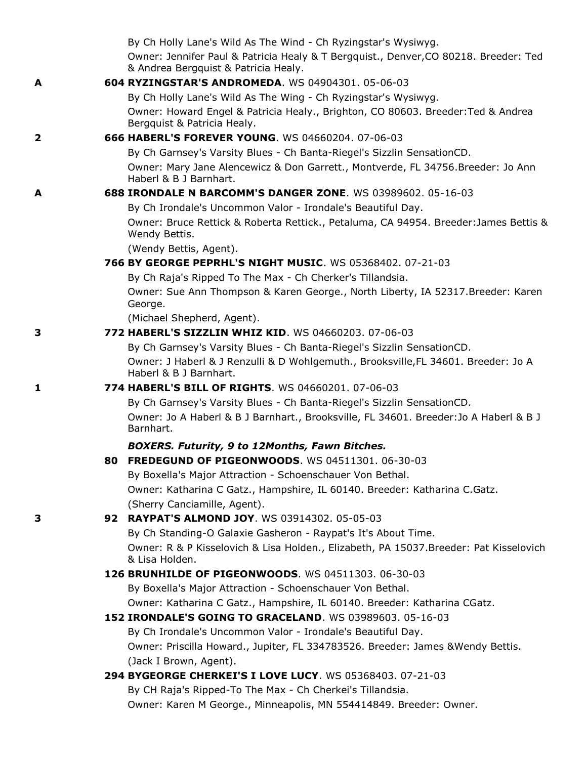|              | By Ch Holly Lane's Wild As The Wind - Ch Ryzingstar's Wysiwyg.                                                                                                  |
|--------------|-----------------------------------------------------------------------------------------------------------------------------------------------------------------|
|              | Owner: Jennifer Paul & Patricia Healy & T Bergquist., Denver, CO 80218. Breeder: Ted<br>& Andrea Bergquist & Patricia Healy.                                    |
| A            | 604 RYZINGSTAR'S ANDROMEDA. WS 04904301. 05-06-03                                                                                                               |
|              | By Ch Holly Lane's Wild As The Wing - Ch Ryzingstar's Wysiwyg.                                                                                                  |
|              | Owner: Howard Engel & Patricia Healy., Brighton, CO 80603. Breeder: Ted & Andrea<br>Bergquist & Patricia Healy.                                                 |
| $\mathbf{2}$ | 666 HABERL'S FOREVER YOUNG. WS 04660204. 07-06-03                                                                                                               |
|              | By Ch Garnsey's Varsity Blues - Ch Banta-Riegel's Sizzlin SensationCD.                                                                                          |
|              | Owner: Mary Jane Alencewicz & Don Garrett., Montverde, FL 34756.Breeder: Jo Ann<br>Haberl & B J Barnhart.                                                       |
| A            | 688 IRONDALE N BARCOMM'S DANGER ZONE. WS 03989602. 05-16-03                                                                                                     |
|              | By Ch Irondale's Uncommon Valor - Irondale's Beautiful Day.                                                                                                     |
|              | Owner: Bruce Rettick & Roberta Rettick., Petaluma, CA 94954. Breeder: James Bettis &<br>Wendy Bettis.                                                           |
|              | (Wendy Bettis, Agent).                                                                                                                                          |
|              | 766 BY GEORGE PEPRHL'S NIGHT MUSIC. WS 05368402. 07-21-03                                                                                                       |
|              | By Ch Raja's Ripped To The Max - Ch Cherker's Tillandsia.                                                                                                       |
|              | Owner: Sue Ann Thompson & Karen George., North Liberty, IA 52317.Breeder: Karen<br>George.                                                                      |
|              | (Michael Shepherd, Agent).                                                                                                                                      |
| 3            | 772 HABERL'S SIZZLIN WHIZ KID. WS 04660203. 07-06-03                                                                                                            |
|              | By Ch Garnsey's Varsity Blues - Ch Banta-Riegel's Sizzlin SensationCD.                                                                                          |
|              | Owner: J Haberl & J Renzulli & D Wohlgemuth., Brooksville, FL 34601. Breeder: Jo A<br>Haberl & B J Barnhart.                                                    |
| 1            | 774 HABERL'S BILL OF RIGHTS. WS 04660201. 07-06-03                                                                                                              |
|              | By Ch Garnsey's Varsity Blues - Ch Banta-Riegel's Sizzlin SensationCD.<br>Owner: Jo A Haberl & B J Barnhart., Brooksville, FL 34601. Breeder: Jo A Haberl & B J |
|              | Barnhart.                                                                                                                                                       |
|              | <b>BOXERS. Futurity, 9 to 12Months, Fawn Bitches.</b>                                                                                                           |
|              | 80 FREDEGUND OF PIGEONWOODS. WS 04511301. 06-30-03                                                                                                              |
|              | By Boxella's Major Attraction - Schoenschauer Von Bethal.                                                                                                       |
|              | Owner: Katharina C Gatz., Hampshire, IL 60140. Breeder: Katharina C.Gatz.                                                                                       |
|              | (Sherry Canciamille, Agent).                                                                                                                                    |
| 3            | 92 RAYPAT'S ALMOND JOY. WS 03914302. 05-05-03<br>By Ch Standing-O Galaxie Gasheron - Raypat's It's About Time.                                                  |
|              | Owner: R & P Kisselovich & Lisa Holden., Elizabeth, PA 15037. Breeder: Pat Kisselovich                                                                          |
|              | & Lisa Holden.                                                                                                                                                  |
|              | 126 BRUNHILDE OF PIGEONWOODS, WS 04511303, 06-30-03                                                                                                             |
|              | By Boxella's Major Attraction - Schoenschauer Von Bethal.                                                                                                       |
|              | Owner: Katharina C Gatz., Hampshire, IL 60140. Breeder: Katharina CGatz.                                                                                        |
|              | 152 IRONDALE'S GOING TO GRACELAND. WS 03989603. 05-16-03                                                                                                        |
|              | By Ch Irondale's Uncommon Valor - Irondale's Beautiful Day.                                                                                                     |
|              | Owner: Priscilla Howard., Jupiter, FL 334783526. Breeder: James & Wendy Bettis.                                                                                 |
|              | (Jack I Brown, Agent).                                                                                                                                          |
|              | 294 BYGEORGE CHERKEI'S I LOVE LUCY. WS 05368403. 07-21-03                                                                                                       |
|              | By CH Raja's Ripped-To The Max - Ch Cherkei's Tillandsia.                                                                                                       |
|              | Owner: Karen M George., Minneapolis, MN 554414849. Breeder: Owner.                                                                                              |
|              |                                                                                                                                                                 |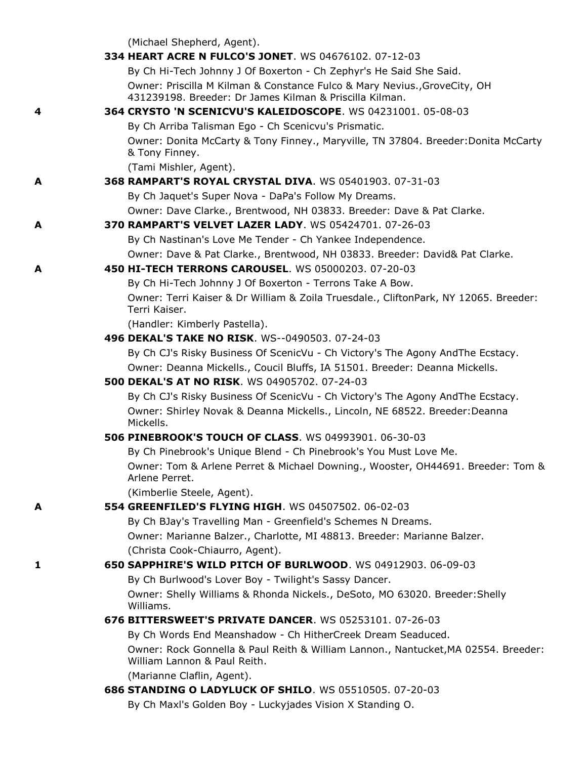(Michael Shepherd, Agent).

|   | 334 HEART ACRE N FULCO'S JONET. WS 04676102. 07-12-03                                                                                |
|---|--------------------------------------------------------------------------------------------------------------------------------------|
|   | By Ch Hi-Tech Johnny J Of Boxerton - Ch Zephyr's He Said She Said.                                                                   |
|   | Owner: Priscilla M Kilman & Constance Fulco & Mary Nevius., GroveCity, OH<br>431239198. Breeder: Dr James Kilman & Priscilla Kilman. |
| 4 | 364 CRYSTO 'N SCENICVU'S KALEIDOSCOPE. WS 04231001. 05-08-03                                                                         |
|   | By Ch Arriba Talisman Ego - Ch Scenicvu's Prismatic.                                                                                 |
|   | Owner: Donita McCarty & Tony Finney., Maryville, TN 37804. Breeder: Donita McCarty<br>& Tony Finney.                                 |
|   | (Tami Mishler, Agent).                                                                                                               |
| A | 368 RAMPART'S ROYAL CRYSTAL DIVA. WS 05401903. 07-31-03                                                                              |
|   | By Ch Jaquet's Super Nova - DaPa's Follow My Dreams.                                                                                 |
|   | Owner: Dave Clarke., Brentwood, NH 03833. Breeder: Dave & Pat Clarke.                                                                |
| A | <b>370 RAMPART'S VELVET LAZER LADY.</b> WS 05424701, 07-26-03                                                                        |
|   | By Ch Nastinan's Love Me Tender - Ch Yankee Independence.                                                                            |
|   | Owner: Dave & Pat Clarke., Brentwood, NH 03833. Breeder: David& Pat Clarke.                                                          |
| A | 450 HI-TECH TERRONS CAROUSEL. WS 05000203. 07-20-03                                                                                  |
|   | By Ch Hi-Tech Johnny J Of Boxerton - Terrons Take A Bow.                                                                             |
|   | Owner: Terri Kaiser & Dr William & Zoila Truesdale., CliftonPark, NY 12065. Breeder:<br>Terri Kaiser.                                |
|   | (Handler: Kimberly Pastella).                                                                                                        |
|   | 496 DEKAL'S TAKE NO RISK. WS--0490503. 07-24-03                                                                                      |
|   | By Ch CJ's Risky Business Of ScenicVu - Ch Victory's The Agony And The Ecstacy.                                                      |
|   | Owner: Deanna Mickells., Coucil Bluffs, IA 51501. Breeder: Deanna Mickells.                                                          |
|   | <b>500 DEKAL'S AT NO RISK. WS 04905702. 07-24-03</b>                                                                                 |
|   | By Ch CJ's Risky Business Of ScenicVu - Ch Victory's The Agony And The Ecstacy.                                                      |
|   | Owner: Shirley Novak & Deanna Mickells., Lincoln, NE 68522. Breeder: Deanna<br>Mickells.                                             |
|   | <b>506 PINEBROOK'S TOUCH OF CLASS. WS 04993901. 06-30-03</b>                                                                         |
|   | By Ch Pinebrook's Unique Blend - Ch Pinebrook's You Must Love Me.                                                                    |
|   | Owner: Tom & Arlene Perret & Michael Downing., Wooster, OH44691. Breeder: Tom &<br>Arlene Perret.                                    |
|   | (Kimberlie Steele, Agent).                                                                                                           |
| A | 554 GREENFILED'S FLYING HIGH, WS 04507502, 06-02-03                                                                                  |
|   | By Ch BJay's Travelling Man - Greenfield's Schemes N Dreams.                                                                         |
|   | Owner: Marianne Balzer., Charlotte, MI 48813. Breeder: Marianne Balzer.                                                              |
|   | (Christa Cook-Chiaurro, Agent).                                                                                                      |
| 1 | 650 SAPPHIRE'S WILD PITCH OF BURLWOOD. WS 04912903. 06-09-03                                                                         |
|   | By Ch Burlwood's Lover Boy - Twilight's Sassy Dancer.                                                                                |
|   | Owner: Shelly Williams & Rhonda Nickels., DeSoto, MO 63020. Breeder: Shelly<br>Williams.                                             |
|   | 676 BITTERSWEET'S PRIVATE DANCER. WS 05253101. 07-26-03                                                                              |
|   | By Ch Words End Meanshadow - Ch HitherCreek Dream Seaduced.                                                                          |
|   | Owner: Rock Gonnella & Paul Reith & William Lannon., Nantucket, MA 02554. Breeder:<br>William Lannon & Paul Reith.                   |
|   | (Marianne Claflin, Agent).                                                                                                           |
|   | 686 STANDING O LADYLUCK OF SHILO. WS 05510505. 07-20-03                                                                              |
|   | By Ch Maxl's Golden Boy - Luckyjades Vision X Standing O.                                                                            |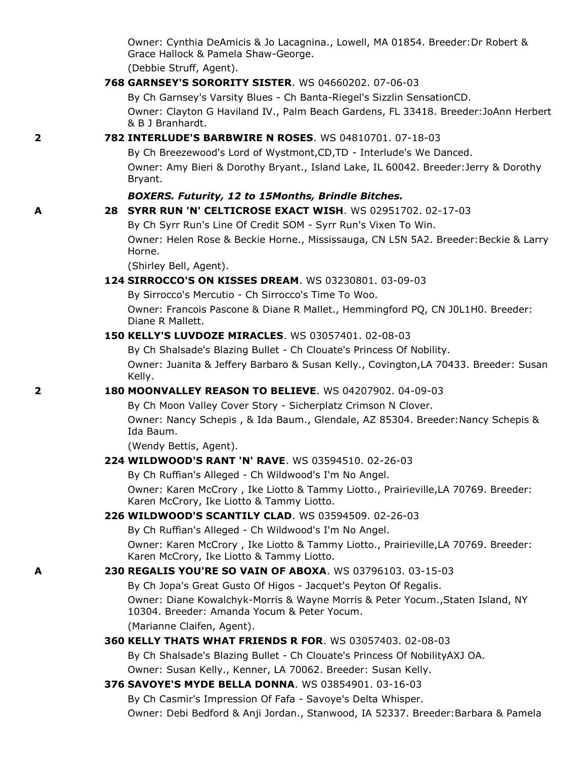Owner: Cynthia DeAmicis & Jo Lacagnina., Lowell, MA 01854. Breeder:Dr Robert & Grace Hallock & Pamela Shaw-George.

(Debbie Struff, Agent).

#### **768 GARNSEY'S SORORITY SISTER**. WS 04660202. 07-06-03

By Ch Garnsey's Varsity Blues - Ch Banta-Riegel's Sizzlin SensationCD.

Owner: Clayton G Haviland IV., Palm Beach Gardens, FL 33418. Breeder:JoAnn Herbert & B J Branhardt.

### **2 782 INTERLUDE'S BARBWIRE N ROSES**. WS 04810701. 07-18-03

By Ch Breezewood's Lord of Wystmont,CD,TD - Interlude's We Danced. Owner: Amy Bieri & Dorothy Bryant., Island Lake, IL 60042. Breeder:Jerry & Dorothy Bryant.

#### *BOXERS. Futurity, 12 to 15Months, Brindle Bitches.*

#### **A 28 SYRR RUN 'N' CELTICROSE EXACT WISH**. WS 02951702. 02-17-03

By Ch Syrr Run's Line Of Credit SOM - Syrr Run's Vixen To Win. Owner: Helen Rose & Beckie Horne., Mississauga, CN L5N 5A2. Breeder:Beckie & Larry Horne.

(Shirley Bell, Agent).

### **124 SIRROCCO'S ON KISSES DREAM**. WS 03230801. 03-09-03

By Sirrocco's Mercutio - Ch Sirrocco's Time To Woo.

Owner: Francois Pascone & Diane R Mallet., Hemmingford PQ, CN J0L1H0. Breeder: Diane R Mallett.

#### **150 KELLY'S LUVDOZE MIRACLES**. WS 03057401. 02-08-03

By Ch Shalsade's Blazing Bullet - Ch Clouate's Princess Of Nobility. Owner: Juanita & Jeffery Barbaro & Susan Kelly., Covington,LA 70433. Breeder: Susan Kelly.

#### **2 180 MOONVALLEY REASON TO BELIEVE**. WS 04207902. 04-09-03

By Ch Moon Valley Cover Story - Sicherplatz Crimson N Clover. Owner: Nancy Schepis , & Ida Baum., Glendale, AZ 85304. Breeder:Nancy Schepis & Ida Baum.

(Wendy Bettis, Agent).

#### **224 WILDWOOD'S RANT 'N' RAVE**. WS 03594510. 02-26-03

By Ch Ruffian's Alleged - Ch Wildwood's I'm No Angel.

Owner: Karen McCrory , Ike Liotto & Tammy Liotto., Prairieville,LA 70769. Breeder: Karen McCrory, Ike Liotto & Tammy Liotto.

#### **226 WILDWOOD'S SCANTILY CLAD**. WS 03594509. 02-26-03

By Ch Ruffian's Alleged - Ch Wildwood's I'm No Angel.

Owner: Karen McCrory , Ike Liotto & Tammy Liotto., Prairieville,LA 70769. Breeder: Karen McCrory, Ike Liotto & Tammy Liotto.

### **A 230 REGALIS YOU'RE SO VAIN OF ABOXA**. WS 03796103. 03-15-03

By Ch Jopa's Great Gusto Of Higos - Jacquet's Peyton Of Regalis.

Owner: Diane Kowalchyk-Morris & Wayne Morris & Peter Yocum.,Staten Island, NY 10304. Breeder: Amanda Yocum & Peter Yocum.

(Marianne Claifen, Agent).

#### **360 KELLY THATS WHAT FRIENDS R FOR**. WS 03057403. 02-08-03

By Ch Shalsade's Blazing Bullet - Ch Clouate's Princess Of NobilityAXJ OA.

Owner: Susan Kelly., Kenner, LA 70062. Breeder: Susan Kelly.

# **376 SAVOYE'S MYDE BELLA DONNA**. WS 03854901. 03-16-03

By Ch Casmir's Impression Of Fafa - Savoye's Delta Whisper.

Owner: Debi Bedford & Anji Jordan., Stanwood, IA 52337. Breeder:Barbara & Pamela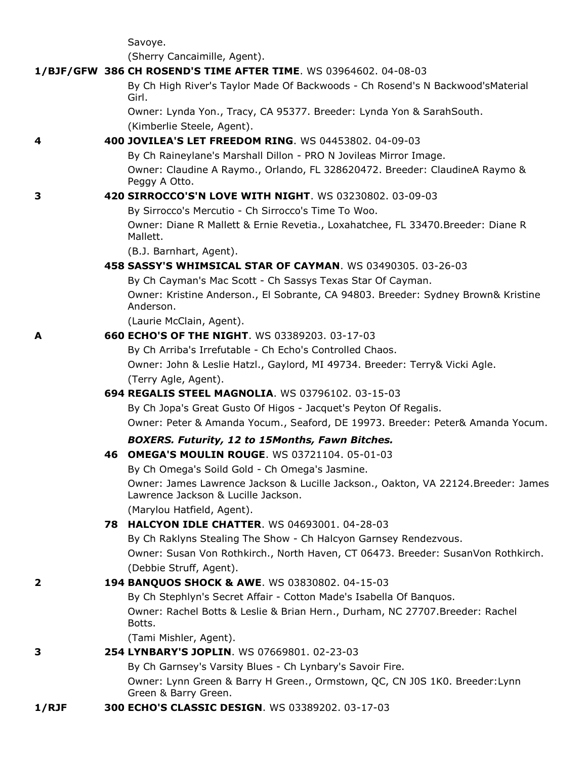Savoye.

(Sherry Cancaimille, Agent).

|       | 1/BJF/GFW 386 CH ROSEND'S TIME AFTER TIME. WS 03964602. 04-08-03                                                         |
|-------|--------------------------------------------------------------------------------------------------------------------------|
|       | By Ch High River's Taylor Made Of Backwoods - Ch Rosend's N Backwood'sMaterial<br>Girl.                                  |
|       | Owner: Lynda Yon., Tracy, CA 95377. Breeder: Lynda Yon & SarahSouth.<br>(Kimberlie Steele, Agent).                       |
| 4     | 400 JOVILEA'S LET FREEDOM RING. WS 04453802. 04-09-03                                                                    |
|       | By Ch Raineylane's Marshall Dillon - PRO N Jovileas Mirror Image.                                                        |
|       | Owner: Claudine A Raymo., Orlando, FL 328620472. Breeder: ClaudineA Raymo &<br>Peggy A Otto.                             |
| 3     | 420 SIRROCCO'S'N LOVE WITH NIGHT. WS 03230802. 03-09-03                                                                  |
|       | By Sirrocco's Mercutio - Ch Sirrocco's Time To Woo.                                                                      |
|       | Owner: Diane R Mallett & Ernie Revetia., Loxahatchee, FL 33470.Breeder: Diane R<br>Mallett.                              |
|       | (B.J. Barnhart, Agent).                                                                                                  |
|       | 458 SASSY'S WHIMSICAL STAR OF CAYMAN. WS 03490305. 03-26-03                                                              |
|       | By Ch Cayman's Mac Scott - Ch Sassys Texas Star Of Cayman.                                                               |
|       | Owner: Kristine Anderson., El Sobrante, CA 94803. Breeder: Sydney Brown& Kristine<br>Anderson.                           |
|       | (Laurie McClain, Agent).                                                                                                 |
| А     | 660 ECHO'S OF THE NIGHT. WS 03389203. 03-17-03                                                                           |
|       | By Ch Arriba's Irrefutable - Ch Echo's Controlled Chaos.                                                                 |
|       | Owner: John & Leslie Hatzl., Gaylord, MI 49734. Breeder: Terry& Vicki Agle.                                              |
|       | (Terry Agle, Agent).                                                                                                     |
|       | 694 REGALIS STEEL MAGNOLIA. WS 03796102. 03-15-03                                                                        |
|       | By Ch Jopa's Great Gusto Of Higos - Jacquet's Peyton Of Regalis.                                                         |
|       | Owner: Peter & Amanda Yocum., Seaford, DE 19973. Breeder: Peter& Amanda Yocum.                                           |
|       | BOXERS. Futurity, 12 to 15Months, Fawn Bitches.                                                                          |
|       | 46 OMEGA'S MOULIN ROUGE, WS 03721104, 05-01-03                                                                           |
|       | By Ch Omega's Soild Gold - Ch Omega's Jasmine.                                                                           |
|       | Owner: James Lawrence Jackson & Lucille Jackson., Oakton, VA 22124.Breeder: James<br>Lawrence Jackson & Lucille Jackson. |
|       | (Marylou Hatfield, Agent).                                                                                               |
|       | <b>78 HALCYON IDLE CHATTER.</b> WS 04693001, 04-28-03                                                                    |
|       | By Ch Raklyns Stealing The Show - Ch Halcyon Garnsey Rendezvous.                                                         |
|       | Owner: Susan Von Rothkirch., North Haven, CT 06473. Breeder: SusanVon Rothkirch.                                         |
|       | (Debbie Struff, Agent).                                                                                                  |
| 2     | 194 BANQUOS SHOCK & AWE. WS 03830802. 04-15-03                                                                           |
|       | By Ch Stephlyn's Secret Affair - Cotton Made's Isabella Of Banquos.                                                      |
|       | Owner: Rachel Botts & Leslie & Brian Hern., Durham, NC 27707.Breeder: Rachel<br>Botts.                                   |
|       | (Tami Mishler, Agent).                                                                                                   |
| 3     | 254 LYNBARY'S JOPLIN. WS 07669801. 02-23-03                                                                              |
|       | By Ch Garnsey's Varsity Blues - Ch Lynbary's Savoir Fire.                                                                |
|       | Owner: Lynn Green & Barry H Green., Ormstown, QC, CN J0S 1K0. Breeder: Lynn<br>Green & Barry Green.                      |
| 1/RIF | 300 ECHO'S CLASSIC DESIGN. WS 03389202. 03-17-03                                                                         |
|       |                                                                                                                          |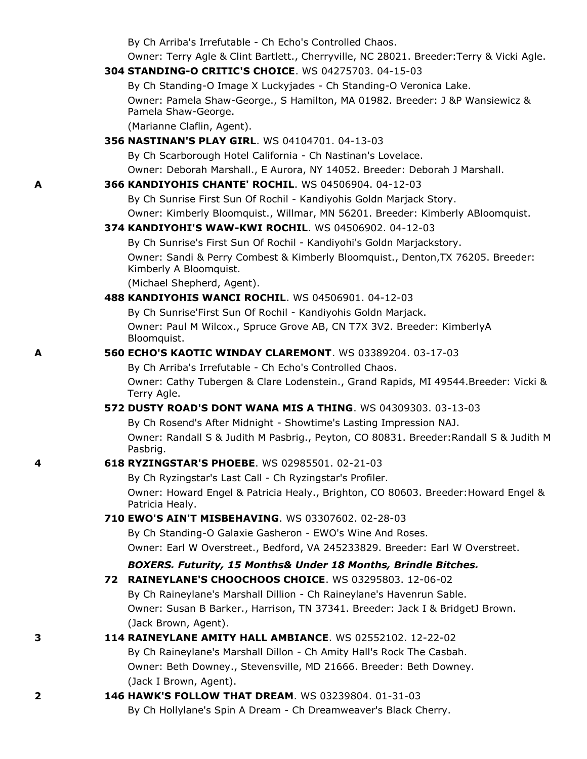By Ch Arriba's Irrefutable - Ch Echo's Controlled Chaos.

Owner: Terry Agle & Clint Bartlett., Cherryville, NC 28021. Breeder:Terry & Vicki Agle.

### **304 STANDING-O CRITIC'S CHOICE**. WS 04275703. 04-15-03

By Ch Standing-O Image X Luckyjades - Ch Standing-O Veronica Lake. Owner: Pamela Shaw-George., S Hamilton, MA 01982. Breeder: J &P Wansiewicz & Pamela Shaw-George.

(Marianne Claflin, Agent).

### **356 NASTINAN'S PLAY GIRL**. WS 04104701. 04-13-03

By Ch Scarborough Hotel California - Ch Nastinan's Lovelace.

Owner: Deborah Marshall., E Aurora, NY 14052. Breeder: Deborah J Marshall.

### **A 366 KANDIYOHIS CHANTE' ROCHIL**. WS 04506904. 04-12-03

By Ch Sunrise First Sun Of Rochil - Kandiyohis Goldn Marjack Story. Owner: Kimberly Bloomquist., Willmar, MN 56201. Breeder: Kimberly ABloomquist.

### **374 KANDIYOHI'S WAW-KWI ROCHIL**. WS 04506902. 04-12-03

By Ch Sunrise's First Sun Of Rochil - Kandiyohi's Goldn Marjackstory.

Owner: Sandi & Perry Combest & Kimberly Bloomquist., Denton,TX 76205. Breeder: Kimberly A Bloomquist.

(Michael Shepherd, Agent).

### **488 KANDIYOHIS WANCI ROCHIL**. WS 04506901. 04-12-03

By Ch Sunrise'First Sun Of Rochil - Kandiyohis Goldn Marjack.

Owner: Paul M Wilcox., Spruce Grove AB, CN T7X 3V2. Breeder: KimberlyA Bloomquist.

### **A 560 ECHO'S KAOTIC WINDAY CLAREMONT**. WS 03389204. 03-17-03

By Ch Arriba's Irrefutable - Ch Echo's Controlled Chaos. Owner: Cathy Tubergen & Clare Lodenstein., Grand Rapids, MI 49544.Breeder: Vicki & Terry Agle.

### **572 DUSTY ROAD'S DONT WANA MIS A THING**. WS 04309303. 03-13-03

By Ch Rosend's After Midnight - Showtime's Lasting Impression NAJ. Owner: Randall S & Judith M Pasbrig., Peyton, CO 80831. Breeder:Randall S & Judith M Pasbrig.

## **4 618 RYZINGSTAR'S PHOEBE**. WS 02985501. 02-21-03

By Ch Ryzingstar's Last Call - Ch Ryzingstar's Profiler. Owner: Howard Engel & Patricia Healy., Brighton, CO 80603. Breeder:Howard Engel & Patricia Healy.

### **710 EWO'S AIN'T MISBEHAVING**. WS 03307602. 02-28-03

By Ch Standing-O Galaxie Gasheron - EWO's Wine And Roses. Owner: Earl W Overstreet., Bedford, VA 245233829. Breeder: Earl W Overstreet.

### *BOXERS. Futurity, 15 Months& Under 18 Months, Brindle Bitches.*

# **72 RAINEYLANE'S CHOOCHOOS CHOICE**. WS 03295803. 12-06-02 By Ch Raineylane's Marshall Dillion - Ch Raineylane's Havenrun Sable. Owner: Susan B Barker., Harrison, TN 37341. Breeder: Jack I & BridgetJ Brown. (Jack Brown, Agent).

# **3 114 RAINEYLANE AMITY HALL AMBIANCE**. WS 02552102. 12-22-02

By Ch Raineylane's Marshall Dillon - Ch Amity Hall's Rock The Casbah. Owner: Beth Downey., Stevensville, MD 21666. Breeder: Beth Downey. (Jack I Brown, Agent).

### **2 146 HAWK'S FOLLOW THAT DREAM**. WS 03239804. 01-31-03 By Ch Hollylane's Spin A Dream - Ch Dreamweaver's Black Cherry.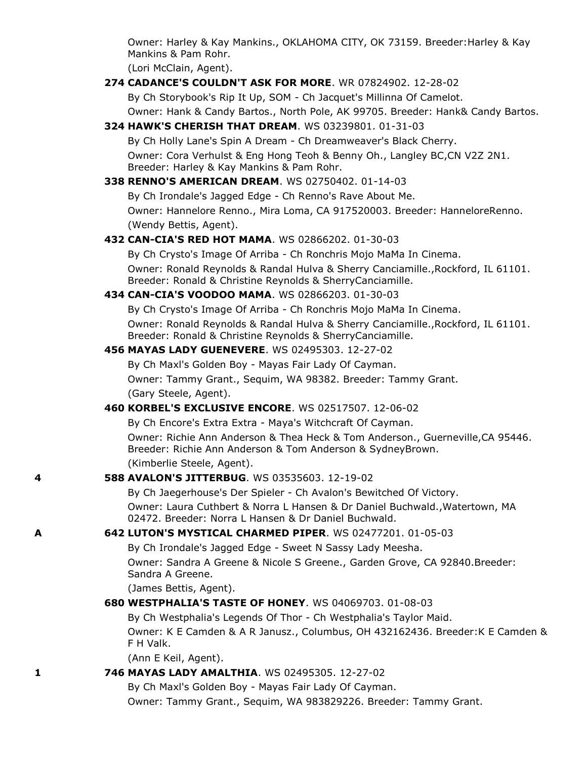Owner: Harley & Kay Mankins., OKLAHOMA CITY, OK 73159. Breeder:Harley & Kay Mankins & Pam Rohr.

(Lori McClain, Agent).

**274 CADANCE'S COULDN'T ASK FOR MORE**. WR 07824902. 12-28-02

By Ch Storybook's Rip It Up, SOM - Ch Jacquet's Millinna Of Camelot.

Owner: Hank & Candy Bartos., North Pole, AK 99705. Breeder: Hank& Candy Bartos.

**324 HAWK'S CHERISH THAT DREAM**. WS 03239801. 01-31-03

By Ch Holly Lane's Spin A Dream - Ch Dreamweaver's Black Cherry. Owner: Cora Verhulst & Eng Hong Teoh & Benny Oh., Langley BC,CN V2Z 2N1. Breeder: Harley & Kay Mankins & Pam Rohr.

**338 RENNO'S AMERICAN DREAM**. WS 02750402. 01-14-03

By Ch Irondale's Jagged Edge - Ch Renno's Rave About Me. Owner: Hannelore Renno., Mira Loma, CA 917520003. Breeder: HanneloreRenno. (Wendy Bettis, Agent).

### **432 CAN-CIA'S RED HOT MAMA**. WS 02866202. 01-30-03

By Ch Crysto's Image Of Arriba - Ch Ronchris Mojo MaMa In Cinema. Owner: Ronald Reynolds & Randal Hulva & Sherry Canciamille.,Rockford, IL 61101. Breeder: Ronald & Christine Reynolds & SherryCanciamille.

#### **434 CAN-CIA'S VOODOO MAMA**. WS 02866203. 01-30-03

By Ch Crysto's Image Of Arriba - Ch Ronchris Mojo MaMa In Cinema.

Owner: Ronald Reynolds & Randal Hulva & Sherry Canciamille.,Rockford, IL 61101. Breeder: Ronald & Christine Reynolds & SherryCanciamille.

### **456 MAYAS LADY GUENEVERE**. WS 02495303. 12-27-02

By Ch Maxl's Golden Boy - Mayas Fair Lady Of Cayman. Owner: Tammy Grant., Sequim, WA 98382. Breeder: Tammy Grant. (Gary Steele, Agent).

### **460 KORBEL'S EXCLUSIVE ENCORE**. WS 02517507. 12-06-02

By Ch Encore's Extra Extra - Maya's Witchcraft Of Cayman.

Owner: Richie Ann Anderson & Thea Heck & Tom Anderson., Guerneville,CA 95446. Breeder: Richie Ann Anderson & Tom Anderson & SydneyBrown. (Kimberlie Steele, Agent).

#### **4 588 AVALON'S JITTERBUG**. WS 03535603. 12-19-02

By Ch Jaegerhouse's Der Spieler - Ch Avalon's Bewitched Of Victory. Owner: Laura Cuthbert & Norra L Hansen & Dr Daniel Buchwald.,Watertown, MA 02472. Breeder: Norra L Hansen & Dr Daniel Buchwald.

### **A 642 LUTON'S MYSTICAL CHARMED PIPER**. WS 02477201. 01-05-03

By Ch Irondale's Jagged Edge - Sweet N Sassy Lady Meesha.

Owner: Sandra A Greene & Nicole S Greene., Garden Grove, CA 92840.Breeder: Sandra A Greene.

(James Bettis, Agent).

**680 WESTPHALIA'S TASTE OF HONEY**. WS 04069703. 01-08-03

By Ch Westphalia's Legends Of Thor - Ch Westphalia's Taylor Maid. Owner: K E Camden & A R Janusz., Columbus, OH 432162436. Breeder:K E Camden & F H Valk.

(Ann E Keil, Agent).

### **1 746 MAYAS LADY AMALTHIA**. WS 02495305. 12-27-02

By Ch Maxl's Golden Boy - Mayas Fair Lady Of Cayman. Owner: Tammy Grant., Sequim, WA 983829226. Breeder: Tammy Grant.